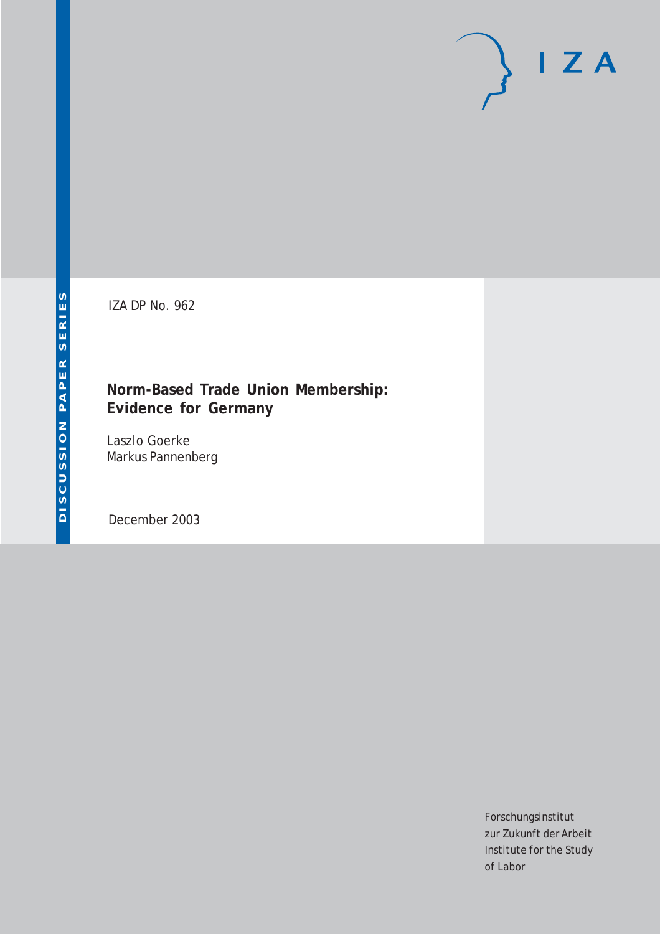# $I Z A$

IZA DP No. 962

### **Norm-Based Trade Union Membership: Evidence for Germany**

Laszlo Goerke Markus Pannenberg

December 2003

Forschungsinstitut zur Zukunft der Arbeit Institute for the Study of Labor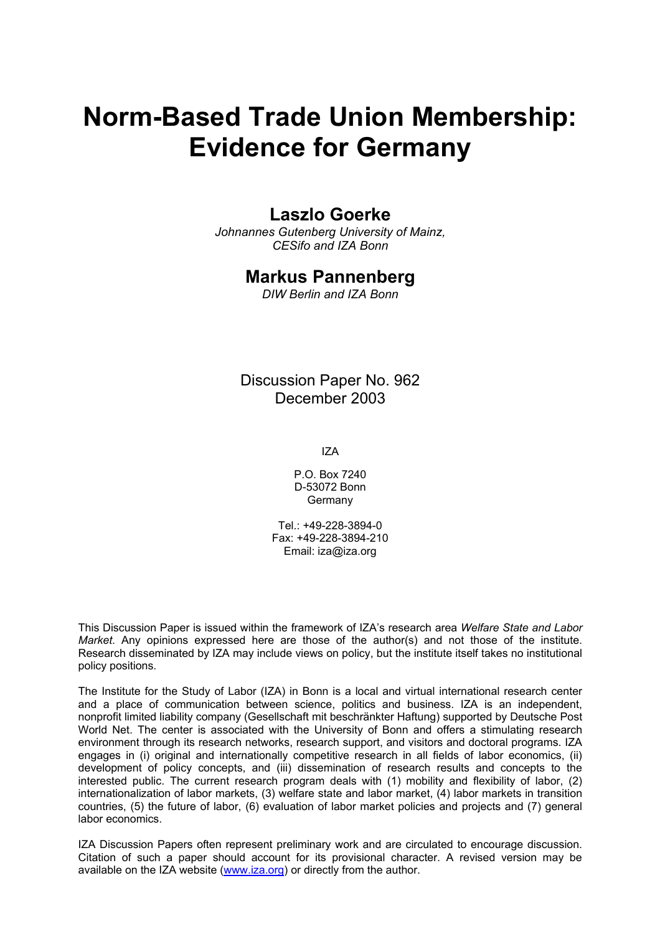# **Norm-Based Trade Union Membership: Evidence for Germany**

#### **Laszlo Goerke**

*Johnannes Gutenberg University of Mainz, CESifo and IZA Bonn* 

#### **Markus Pannenberg**

*DIW Berlin and IZA Bonn* 

Discussion Paper No. 962 December 2003

IZA

P.O. Box 7240 D-53072 Bonn Germany

Tel.: +49-228-3894-0 Fax: +49-228-3894-210 Email: [iza@iza.org](mailto:iza@iza.org)

This Discussion Paper is issued within the framework of IZA's research area *Welfare State and Labor Market*. Any opinions expressed here are those of the author(s) and not those of the institute. Research disseminated by IZA may include views on policy, but the institute itself takes no institutional policy positions.

The Institute for the Study of Labor (IZA) in Bonn is a local and virtual international research center and a place of communication between science, politics and business. IZA is an independent, nonprofit limited liability company (Gesellschaft mit beschränkter Haftung) supported by Deutsche Post World Net. The center is associated with the University of Bonn and offers a stimulating research environment through its research networks, research support, and visitors and doctoral programs. IZA engages in (i) original and internationally competitive research in all fields of labor economics, (ii) development of policy concepts, and (iii) dissemination of research results and concepts to the interested public. The current research program deals with (1) mobility and flexibility of labor, (2) internationalization of labor markets, (3) welfare state and labor market, (4) labor markets in transition countries, (5) the future of labor, (6) evaluation of labor market policies and projects and (7) general labor economics.

IZA Discussion Papers often represent preliminary work and are circulated to encourage discussion. Citation of such a paper should account for its provisional character. A revised version may be available on the IZA website ([www.iza.org](http://www.iza.org/)) or directly from the author.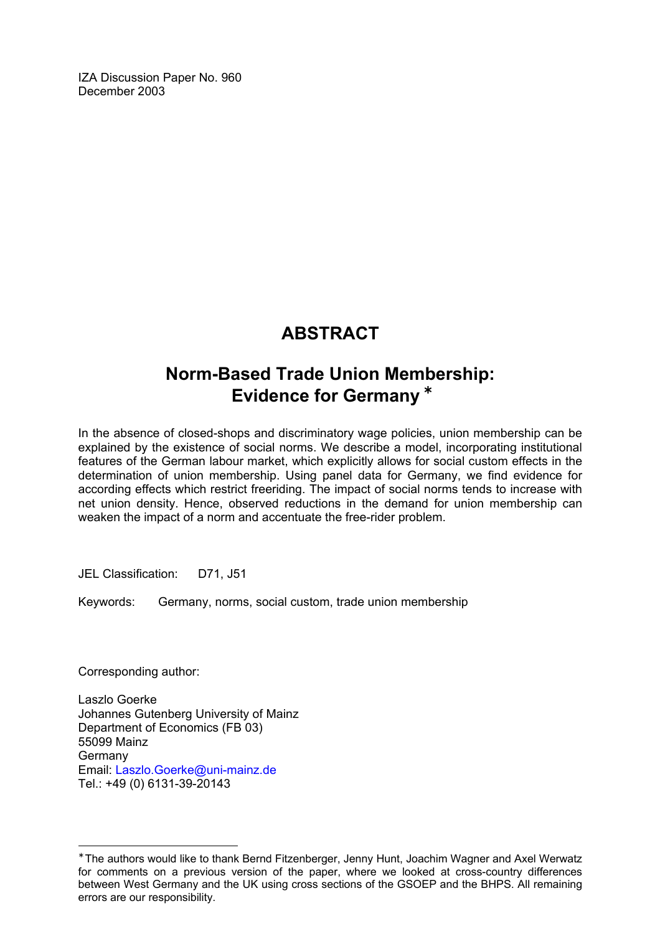IZA Discussion Paper No. 960 December 2003

## **ABSTRACT**

## **Norm-Based Trade Union Membership: Evidence for Germany** [∗](#page-2-0)

In the absence of closed-shops and discriminatory wage policies, union membership can be explained by the existence of social norms. We describe a model, incorporating institutional features of the German labour market, which explicitly allows for social custom effects in the determination of union membership. Using panel data for Germany, we find evidence for according effects which restrict freeriding. The impact of social norms tends to increase with net union density. Hence, observed reductions in the demand for union membership can weaken the impact of a norm and accentuate the free-rider problem.

JEL Classification: D71, J51

Keywords: Germany, norms, social custom, trade union membership

Corresponding author:

 $\overline{a}$ 

Laszlo Goerke Johannes Gutenberg University of Mainz Department of Economics (FB 03) 55099 Mainz Germany Email: [Laszlo.Goerke@uni-mainz.de](mailto:Laszlo.Goerke@uni-mainz.de) Tel.: +49 (0) 6131-39-20143

<span id="page-2-0"></span><sup>∗</sup> The authors would like to thank Bernd Fitzenberger, Jenny Hunt, Joachim Wagner and Axel Werwatz for comments on a previous version of the paper, where we looked at cross-country differences between West Germany and the UK using cross sections of the GSOEP and the BHPS. All remaining errors are our responsibility.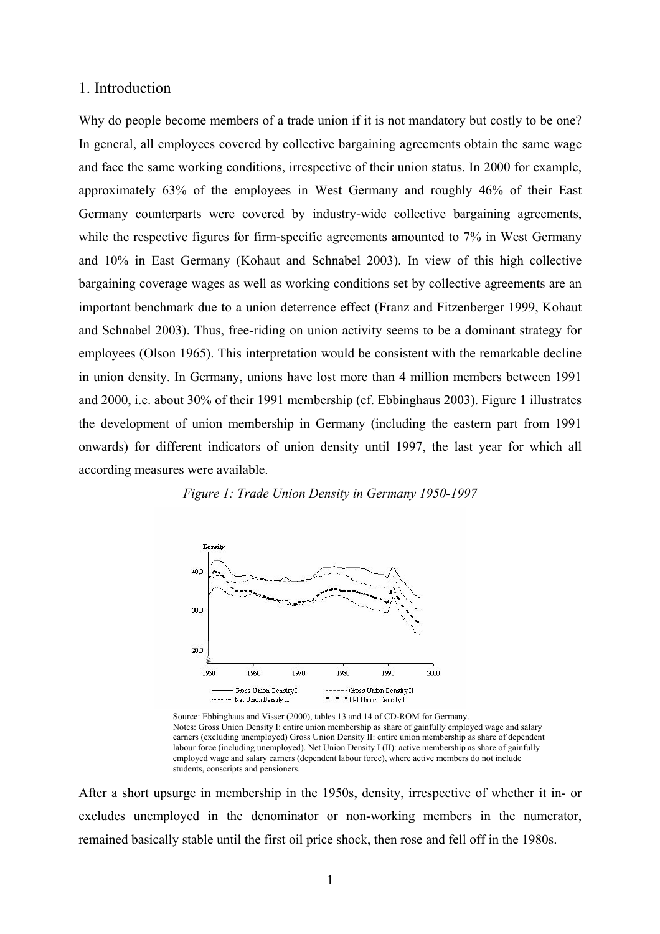#### 1. Introduction

Why do people become members of a trade union if it is not mandatory but costly to be one? In general, all employees covered by collective bargaining agreements obtain the same wage and face the same working conditions, irrespective of their union status. In 2000 for example, approximately 63% of the employees in West Germany and roughly 46% of their East Germany counterparts were covered by industry-wide collective bargaining agreements, while the respective figures for firm-specific agreements amounted to 7% in West Germany and 10% in East Germany (Kohaut and Schnabel 2003). In view of this high collective bargaining coverage wages as well as working conditions set by collective agreements are an important benchmark due to a union deterrence effect (Franz and Fitzenberger 1999, Kohaut and Schnabel 2003). Thus, free-riding on union activity seems to be a dominant strategy for employees (Olson 1965). This interpretation would be consistent with the remarkable decline in union density. In Germany, unions have lost more than 4 million members between 1991 and 2000, i.e. about 30% of their 1991 membership (cf. Ebbinghaus 2003). Figure 1 illustrates the development of union membership in Germany (including the eastern part from 1991 onwards) for different indicators of union density until 1997, the last year for which all according measures were available.



*Figure 1: Trade Union Density in Germany 1950-1997* 

Source: Ebbinghaus and Visser (2000), tables 13 and 14 of CD-ROM for Germany. Notes: Gross Union Density I: entire union membership as share of gainfully employed wage and salary earners (excluding unemployed) Gross Union Density II: entire union membership as share of dependent labour force (including unemployed). Net Union Density I (II): active membership as share of gainfully employed wage and salary earners (dependent labour force), where active members do not include students, conscripts and pensioners.

After a short upsurge in membership in the 1950s, density, irrespective of whether it in- or excludes unemployed in the denominator or non-working members in the numerator, remained basically stable until the first oil price shock, then rose and fell off in the 1980s.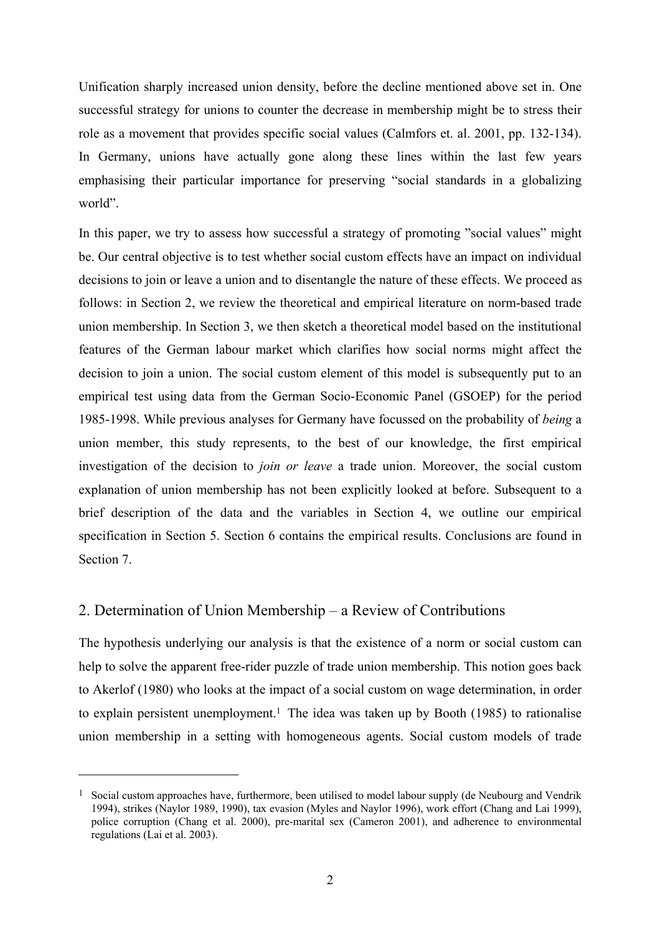Unification sharply increased union density, before the decline mentioned above set in. One successful strategy for unions to counter the decrease in membership might be to stress their role as a movement that provides specific social values (Calmfors et. al. 2001, pp. 132-134). In Germany, unions have actually gone along these lines within the last few years emphasising their particular importance for preserving "social standards in a globalizing world".

In this paper, we try to assess how successful a strategy of promoting "social values" might be. Our central objective is to test whether social custom effects have an impact on individual decisions to join or leave a union and to disentangle the nature of these effects. We proceed as follows: in Section 2, we review the theoretical and empirical literature on norm-based trade union membership. In Section 3, we then sketch a theoretical model based on the institutional features of the German labour market which clarifies how social norms might affect the decision to join a union. The social custom element of this model is subsequently put to an empirical test using data from the German Socio-Economic Panel (GSOEP) for the period 1985-1998. While previous analyses for Germany have focussed on the probability of *being* a union member, this study represents, to the best of our knowledge, the first empirical investigation of the decision to *join or leave* a trade union. Moreover, the social custom explanation of union membership has not been explicitly looked at before. Subsequent to a brief description of the data and the variables in Section 4, we outline our empirical specification in Section 5. Section 6 contains the empirical results. Conclusions are found in Section 7.

#### 2. Determination of Union Membership – a Review of Contributions

 $\overline{a}$ 

The hypothesis underlying our analysis is that the existence of a norm or social custom can help to solve the apparent free-rider puzzle of trade union membership. This notion goes back to Akerlof (1980) who looks at the impact of a social custom on wage determination, in order to explain persistent unemployment.<sup>1</sup> The idea was taken up by Booth (1985) to rationalise union membership in a setting with homogeneous agents. Social custom models of trade

<sup>&</sup>lt;sup>1</sup> Social custom approaches have, furthermore, been utilised to model labour supply (de Neubourg and Vendrik 1994), strikes (Naylor 1989, 1990), tax evasion (Myles and Naylor 1996), work effort (Chang and Lai 1999), police corruption (Chang et al. 2000), pre-marital sex (Cameron 2001), and adherence to environmental regulations (Lai et al. 2003).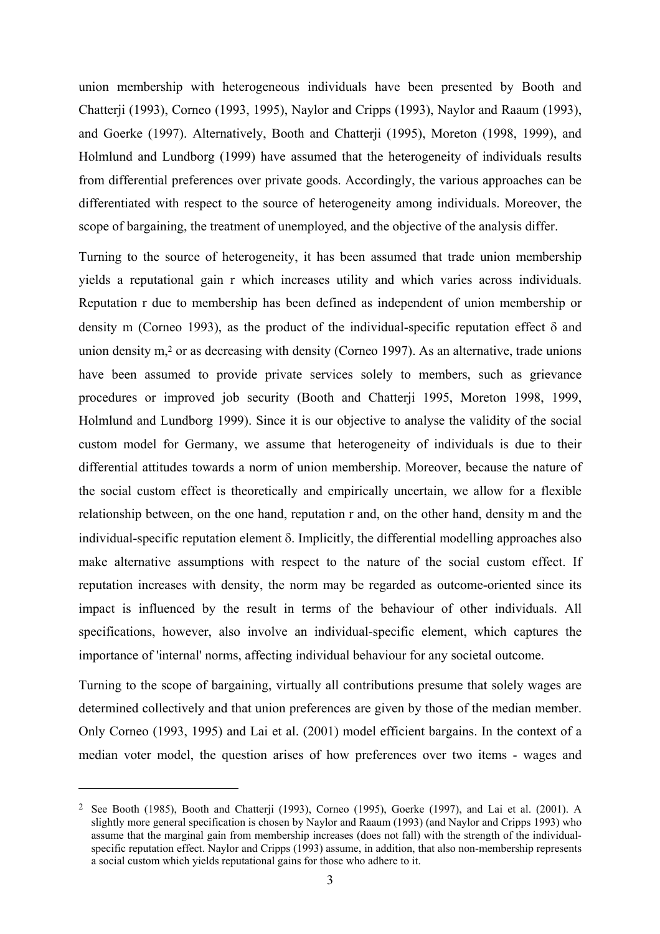union membership with heterogeneous individuals have been presented by Booth and Chatterji (1993), Corneo (1993, 1995), Naylor and Cripps (1993), Naylor and Raaum (1993), and Goerke (1997). Alternatively, Booth and Chatterji (1995), Moreton (1998, 1999), and Holmlund and Lundborg (1999) have assumed that the heterogeneity of individuals results from differential preferences over private goods. Accordingly, the various approaches can be differentiated with respect to the source of heterogeneity among individuals. Moreover, the scope of bargaining, the treatment of unemployed, and the objective of the analysis differ.

Turning to the source of heterogeneity, it has been assumed that trade union membership yields a reputational gain r which increases utility and which varies across individuals. Reputation r due to membership has been defined as independent of union membership or density m (Corneo 1993), as the product of the individual-specific reputation effect δ and union density m,2 or as decreasing with density (Corneo 1997). As an alternative, trade unions have been assumed to provide private services solely to members, such as grievance procedures or improved job security (Booth and Chatterji 1995, Moreton 1998, 1999, Holmlund and Lundborg 1999). Since it is our objective to analyse the validity of the social custom model for Germany, we assume that heterogeneity of individuals is due to their differential attitudes towards a norm of union membership. Moreover, because the nature of the social custom effect is theoretically and empirically uncertain, we allow for a flexible relationship between, on the one hand, reputation r and, on the other hand, density m and the individual-specific reputation element δ. Implicitly, the differential modelling approaches also make alternative assumptions with respect to the nature of the social custom effect. If reputation increases with density, the norm may be regarded as outcome-oriented since its impact is influenced by the result in terms of the behaviour of other individuals. All specifications, however, also involve an individual-specific element, which captures the importance of 'internal' norms, affecting individual behaviour for any societal outcome.

Turning to the scope of bargaining, virtually all contributions presume that solely wages are determined collectively and that union preferences are given by those of the median member. Only Corneo (1993, 1995) and Lai et al. (2001) model efficient bargains. In the context of a median voter model, the question arises of how preferences over two items - wages and

<sup>&</sup>lt;sup>2</sup> See Booth (1985), Booth and Chatterii (1993), Corneo (1995), Goerke (1997), and Lai et al. (2001), A slightly more general specification is chosen by Naylor and Raaum (1993) (and Naylor and Cripps 1993) who assume that the marginal gain from membership increases (does not fall) with the strength of the individualspecific reputation effect. Naylor and Cripps (1993) assume, in addition, that also non-membership represents a social custom which yields reputational gains for those who adhere to it.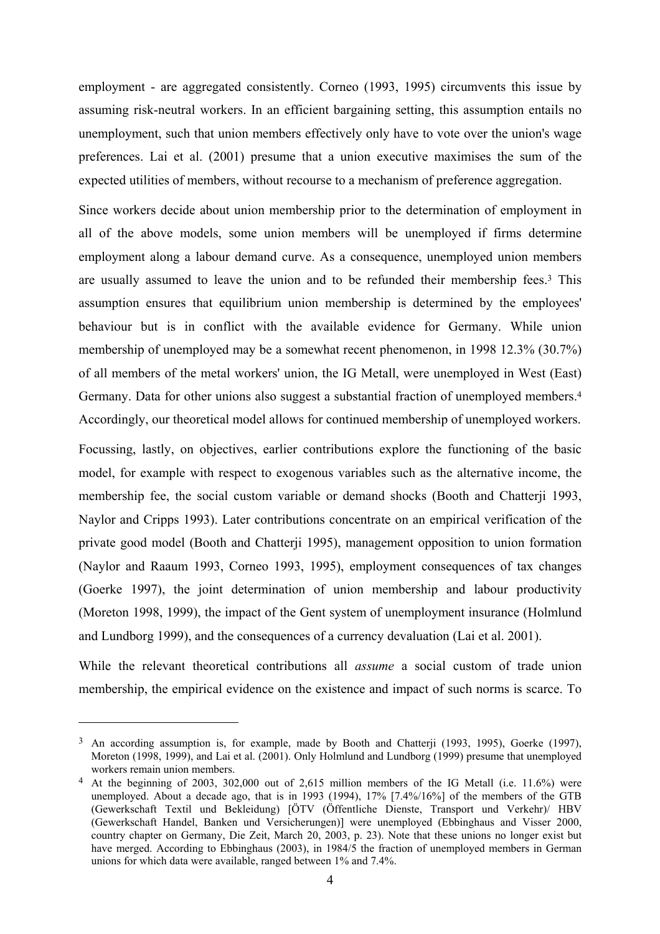employment - are aggregated consistently. Corneo (1993, 1995) circumvents this issue by assuming risk-neutral workers. In an efficient bargaining setting, this assumption entails no unemployment, such that union members effectively only have to vote over the union's wage preferences. Lai et al. (2001) presume that a union executive maximises the sum of the expected utilities of members, without recourse to a mechanism of preference aggregation.

Since workers decide about union membership prior to the determination of employment in all of the above models, some union members will be unemployed if firms determine employment along a labour demand curve. As a consequence, unemployed union members are usually assumed to leave the union and to be refunded their membership fees.3 This assumption ensures that equilibrium union membership is determined by the employees' behaviour but is in conflict with the available evidence for Germany. While union membership of unemployed may be a somewhat recent phenomenon, in 1998 12.3% (30.7%) of all members of the metal workers' union, the IG Metall, were unemployed in West (East) Germany. Data for other unions also suggest a substantial fraction of unemployed members.4 Accordingly, our theoretical model allows for continued membership of unemployed workers.

Focussing, lastly, on objectives, earlier contributions explore the functioning of the basic model, for example with respect to exogenous variables such as the alternative income, the membership fee, the social custom variable or demand shocks (Booth and Chatterji 1993, Naylor and Cripps 1993). Later contributions concentrate on an empirical verification of the private good model (Booth and Chatterji 1995), management opposition to union formation (Naylor and Raaum 1993, Corneo 1993, 1995), employment consequences of tax changes (Goerke 1997), the joint determination of union membership and labour productivity (Moreton 1998, 1999), the impact of the Gent system of unemployment insurance (Holmlund and Lundborg 1999), and the consequences of a currency devaluation (Lai et al. 2001).

While the relevant theoretical contributions all *assume* a social custom of trade union membership, the empirical evidence on the existence and impact of such norms is scarce. To

<sup>&</sup>lt;sup>3</sup> An according assumption is, for example, made by Booth and Chatterji (1993, 1995), Goerke (1997), Moreton (1998, 1999), and Lai et al. (2001). Only Holmlund and Lundborg (1999) presume that unemployed workers remain union members.

<sup>4</sup> At the beginning of 2003, 302,000 out of 2,615 million members of the IG Metall (i.e. 11.6%) were unemployed. About a decade ago, that is in 1993 (1994), 17% [7.4%/16%] of the members of the GTB (Gewerkschaft Textil und Bekleidung) [ÖTV (Öffentliche Dienste, Transport und Verkehr)/ HBV (Gewerkschaft Handel, Banken und Versicherungen)] were unemployed (Ebbinghaus and Visser 2000, country chapter on Germany, Die Zeit, March 20, 2003, p. 23). Note that these unions no longer exist but have merged. According to Ebbinghaus (2003), in 1984/5 the fraction of unemployed members in German unions for which data were available, ranged between 1% and 7.4%.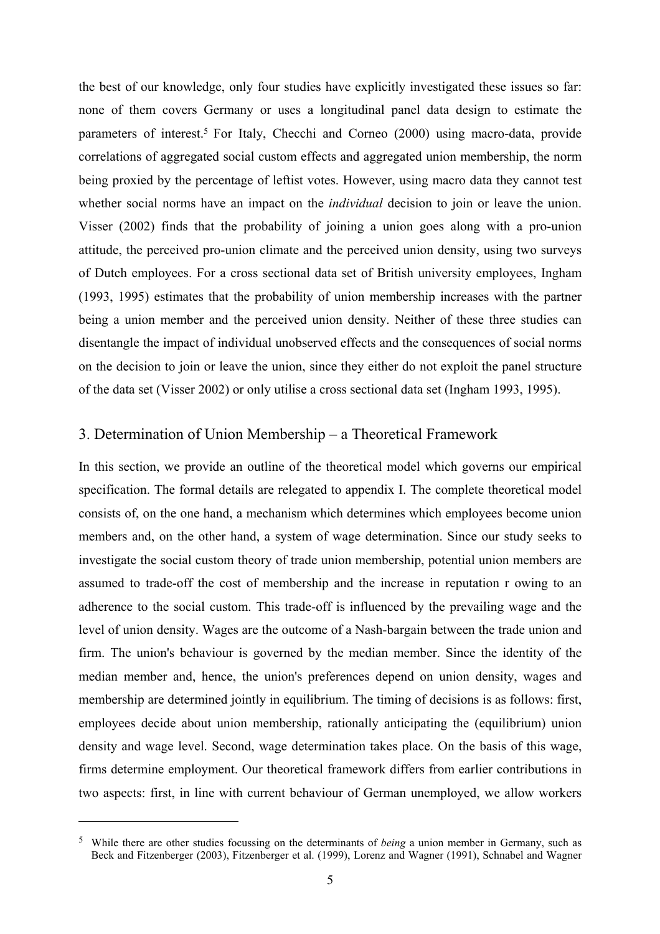the best of our knowledge, only four studies have explicitly investigated these issues so far: none of them covers Germany or uses a longitudinal panel data design to estimate the parameters of interest.<sup>5</sup> For Italy, Checchi and Corneo (2000) using macro-data, provide correlations of aggregated social custom effects and aggregated union membership, the norm being proxied by the percentage of leftist votes. However, using macro data they cannot test whether social norms have an impact on the *individual* decision to join or leave the union. Visser (2002) finds that the probability of joining a union goes along with a pro-union attitude, the perceived pro-union climate and the perceived union density, using two surveys of Dutch employees. For a cross sectional data set of British university employees, Ingham (1993, 1995) estimates that the probability of union membership increases with the partner being a union member and the perceived union density. Neither of these three studies can disentangle the impact of individual unobserved effects and the consequences of social norms on the decision to join or leave the union, since they either do not exploit the panel structure of the data set (Visser 2002) or only utilise a cross sectional data set (Ingham 1993, 1995).

#### 3. Determination of Union Membership – a Theoretical Framework

In this section, we provide an outline of the theoretical model which governs our empirical specification. The formal details are relegated to appendix I. The complete theoretical model consists of, on the one hand, a mechanism which determines which employees become union members and, on the other hand, a system of wage determination. Since our study seeks to investigate the social custom theory of trade union membership, potential union members are assumed to trade-off the cost of membership and the increase in reputation r owing to an adherence to the social custom. This trade-off is influenced by the prevailing wage and the level of union density. Wages are the outcome of a Nash-bargain between the trade union and firm. The union's behaviour is governed by the median member. Since the identity of the median member and, hence, the union's preferences depend on union density, wages and membership are determined jointly in equilibrium. The timing of decisions is as follows: first, employees decide about union membership, rationally anticipating the (equilibrium) union density and wage level. Second, wage determination takes place. On the basis of this wage, firms determine employment. Our theoretical framework differs from earlier contributions in two aspects: first, in line with current behaviour of German unemployed, we allow workers

<sup>5</sup> While there are other studies focussing on the determinants of *being* a union member in Germany, such as Beck and Fitzenberger (2003), Fitzenberger et al. (1999), Lorenz and Wagner (1991), Schnabel and Wagner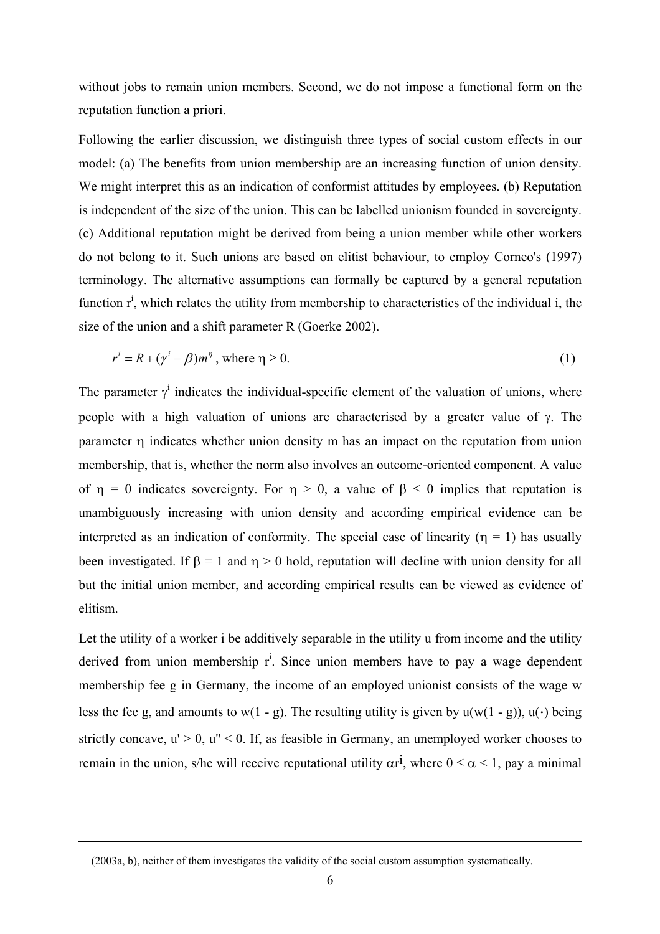without jobs to remain union members. Second, we do not impose a functional form on the reputation function a priori.

Following the earlier discussion, we distinguish three types of social custom effects in our model: (a) The benefits from union membership are an increasing function of union density. We might interpret this as an indication of conformist attitudes by employees. (b) Reputation is independent of the size of the union. This can be labelled unionism founded in sovereignty. (c) Additional reputation might be derived from being a union member while other workers do not belong to it. Such unions are based on elitist behaviour, to employ Corneo's (1997) terminology. The alternative assumptions can formally be captured by a general reputation function  $r^i$ , which relates the utility from membership to characteristics of the individual i, the size of the union and a shift parameter R (Goerke 2002).

$$
r^{i} = R + (\gamma^{i} - \beta)m^{\eta}, \text{ where } \eta \ge 0.
$$
 (1)

The parameter  $\gamma^i$  indicates the individual-specific element of the valuation of unions, where people with a high valuation of unions are characterised by a greater value of γ. The parameter η indicates whether union density m has an impact on the reputation from union membership, that is, whether the norm also involves an outcome-oriented component. A value of  $\eta = 0$  indicates sovereignty. For  $\eta > 0$ , a value of  $\beta \le 0$  implies that reputation is unambiguously increasing with union density and according empirical evidence can be interpreted as an indication of conformity. The special case of linearity ( $\eta = 1$ ) has usually been investigated. If  $\beta = 1$  and  $\eta > 0$  hold, reputation will decline with union density for all but the initial union member, and according empirical results can be viewed as evidence of elitism.

Let the utility of a worker i be additively separable in the utility u from income and the utility derived from union membership  $r^i$ . Since union members have to pay a wage dependent membership fee g in Germany, the income of an employed unionist consists of the wage w less the fee g, and amounts to w(1 - g). The resulting utility is given by  $u(w(1 - g))$ ,  $u(\cdot)$  being strictly concave,  $u' > 0$ ,  $u'' < 0$ . If, as feasible in Germany, an unemployed worker chooses to remain in the union, s/he will receive reputational utility  $\alpha r^i$ , where  $0 \le \alpha \le 1$ , pay a minimal

<sup>(2003</sup>a, b), neither of them investigates the validity of the social custom assumption systematically.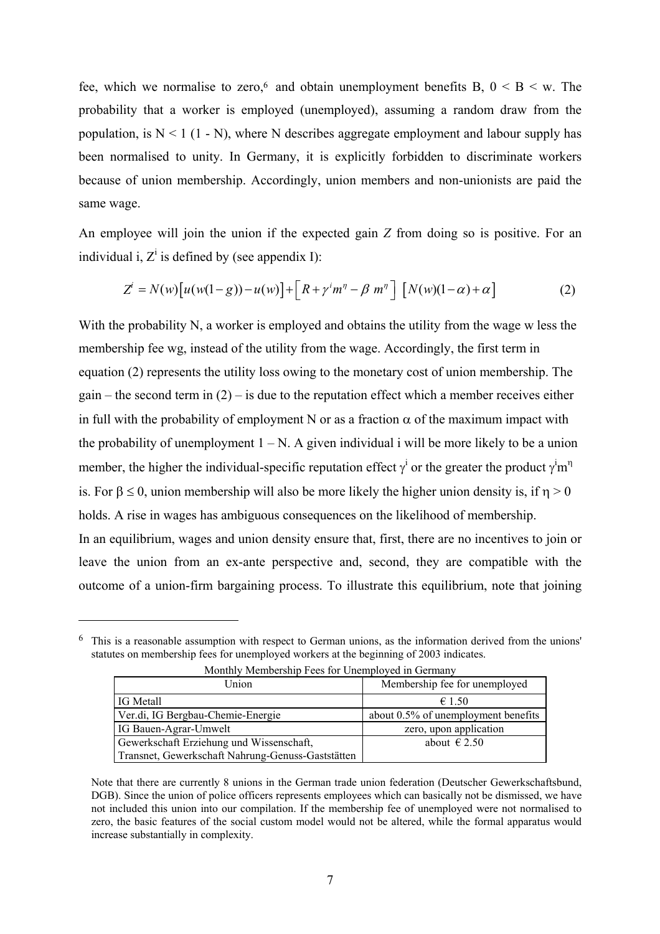fee, which we normalise to zero,<sup>6</sup> and obtain unemployment benefits B,  $0 \le B \le w$ . The probability that a worker is employed (unemployed), assuming a random draw from the population, is  $N < 1$  (1 - N), where N describes aggregate employment and labour supply has been normalised to unity. In Germany, it is explicitly forbidden to discriminate workers because of union membership. Accordingly, union members and non-unionists are paid the same wage.

An employee will join the union if the expected gain *Z* from doing so is positive. For an individual i,  $Z^i$  is defined by (see appendix I):

$$
Z^{i} = N(w)\big[u(w(1-g)) - u(w)\big] + \big[R + \gamma^{i}m^{\eta} - \beta m^{\eta}\big] \big[N(w)(1-\alpha) + \alpha\big]
$$
 (2)

With the probability N, a worker is employed and obtains the utility from the wage w less the membership fee wg, instead of the utility from the wage. Accordingly, the first term in equation (2) represents the utility loss owing to the monetary cost of union membership. The  $gain$  – the second term in (2) – is due to the reputation effect which a member receives either in full with the probability of employment N or as a fraction  $\alpha$  of the maximum impact with the probability of unemployment  $1 - N$ . A given individual i will be more likely to be a union member, the higher the individual-specific reputation effect  $\gamma^i$  or the greater the product  $\gamma^i m^{\eta}$ is. For  $\beta \le 0$ , union membership will also be more likely the higher union density is, if  $\eta > 0$ holds. A rise in wages has ambiguous consequences on the likelihood of membership. In an equilibrium, wages and union density ensure that, first, there are no incentives to join or leave the union from an ex-ante perspective and, second, they are compatible with the outcome of a union-firm bargaining process. To illustrate this equilibrium, note that joining

| Union                                             | Membership fee for unemployed       |
|---------------------------------------------------|-------------------------------------|
| IG Metall                                         | $\epsilon$ 1.50                     |
| Ver.di, IG Bergbau-Chemie-Energie                 | about 0.5% of unemployment benefits |
| IG Bauen-Agrar-Umwelt                             | zero, upon application              |
| Gewerkschaft Erziehung und Wissenschaft,          | about $\in$ 2.50                    |
| Transnet, Gewerkschaft Nahrung-Genuss-Gaststätten |                                     |

Monthly Membership Fees for Unemployed in Germany

<sup>6</sup> This is a reasonable assumption with respect to German unions, as the information derived from the unions' statutes on membership fees for unemployed workers at the beginning of 2003 indicates.

Note that there are currently 8 unions in the German trade union federation (Deutscher Gewerkschaftsbund, DGB). Since the union of police officers represents employees which can basically not be dismissed, we have not included this union into our compilation. If the membership fee of unemployed were not normalised to zero, the basic features of the social custom model would not be altered, while the formal apparatus would increase substantially in complexity.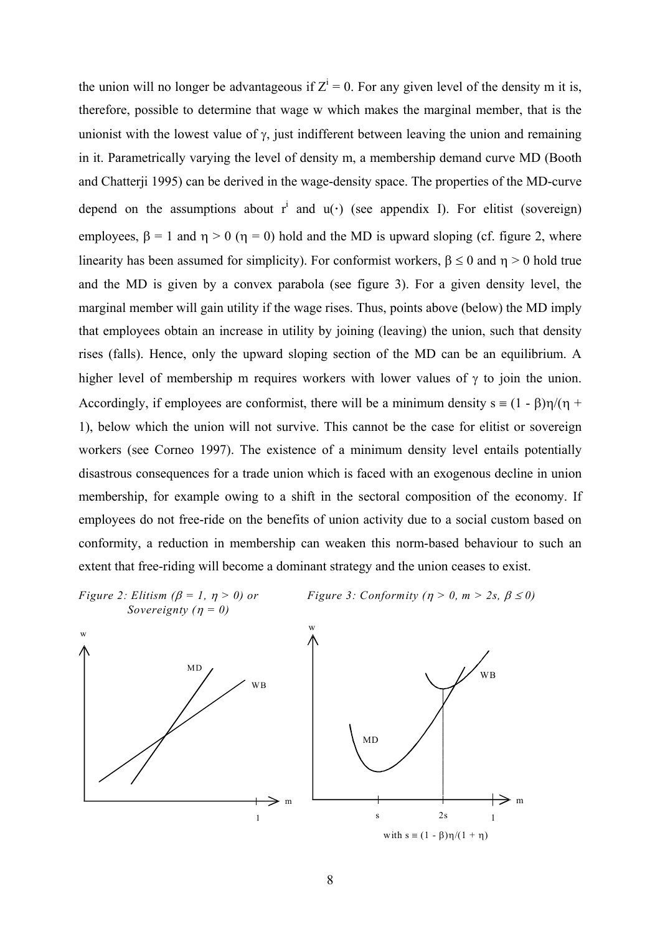the union will no longer be advantageous if  $Z^i = 0$ . For any given level of the density m it is, therefore, possible to determine that wage w which makes the marginal member, that is the unionist with the lowest value of  $\gamma$ , just indifferent between leaving the union and remaining in it. Parametrically varying the level of density m, a membership demand curve MD (Booth and Chatterji 1995) can be derived in the wage-density space. The properties of the MD-curve depend on the assumptions about  $r^i$  and  $u(\cdot)$  (see appendix I). For elitist (sovereign) employees,  $\beta = 1$  and  $\eta > 0$  ( $\eta = 0$ ) hold and the MD is upward sloping (cf. figure 2, where linearity has been assumed for simplicity). For conformist workers,  $\beta \le 0$  and  $\eta > 0$  hold true and the MD is given by a convex parabola (see figure 3). For a given density level, the marginal member will gain utility if the wage rises. Thus, points above (below) the MD imply that employees obtain an increase in utility by joining (leaving) the union, such that density rises (falls). Hence, only the upward sloping section of the MD can be an equilibrium. A higher level of membership m requires workers with lower values of  $\gamma$  to join the union. Accordingly, if employees are conformist, there will be a minimum density  $s = (1 - \beta)\eta/(\eta +$ 1), below which the union will not survive. This cannot be the case for elitist or sovereign workers (see Corneo 1997). The existence of a minimum density level entails potentially disastrous consequences for a trade union which is faced with an exogenous decline in union membership, for example owing to a shift in the sectoral composition of the economy. If employees do not free-ride on the benefits of union activity due to a social custom based on conformity, a reduction in membership can weaken this norm-based behaviour to such an extent that free-riding will become a dominant strategy and the union ceases to exist.

*Sovereignty*  $(\eta = 0)$ 

*Figure 2: Elitism (* $\beta = 1$ *,*  $\eta > 0$ *) or Figure 3: Conformity (* $\eta > 0$ *, m > 2s,*  $\beta \le 0$ *)* 

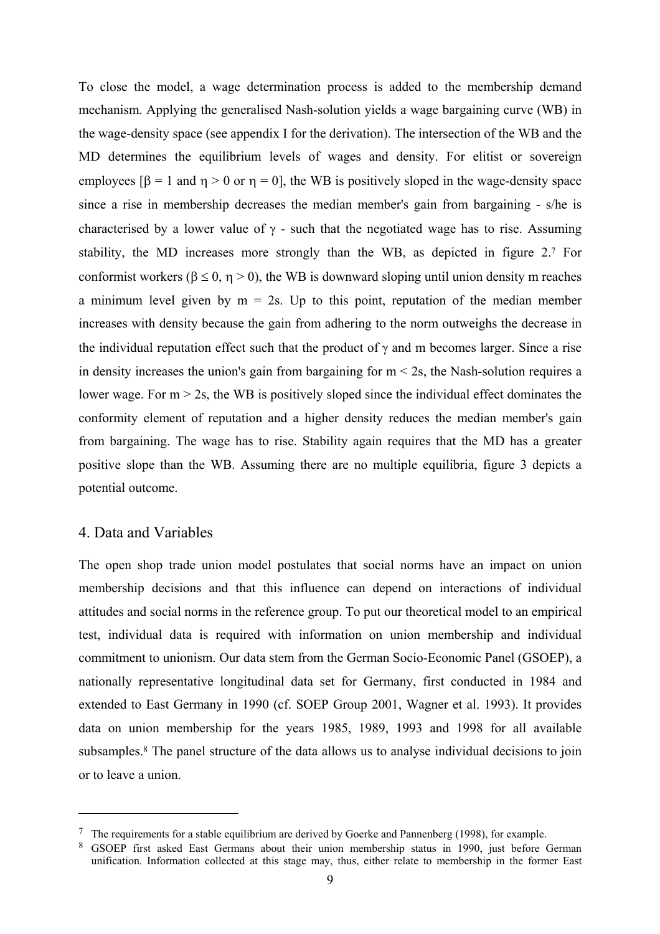To close the model, a wage determination process is added to the membership demand mechanism. Applying the generalised Nash-solution yields a wage bargaining curve (WB) in the wage-density space (see appendix I for the derivation). The intersection of the WB and the MD determines the equilibrium levels of wages and density. For elitist or sovereign employees  $\beta = 1$  and  $\eta > 0$  or  $\eta = 0$ , the WB is positively sloped in the wage-density space since a rise in membership decreases the median member's gain from bargaining - s/he is characterised by a lower value of  $\gamma$  - such that the negotiated wage has to rise. Assuming stability, the MD increases more strongly than the WB, as depicted in figure 2.7 For conformist workers ( $\beta \le 0$ ,  $\eta > 0$ ), the WB is downward sloping until union density m reaches a minimum level given by  $m = 2s$ . Up to this point, reputation of the median member increases with density because the gain from adhering to the norm outweighs the decrease in the individual reputation effect such that the product of  $\gamma$  and m becomes larger. Since a rise in density increases the union's gain from bargaining for  $m < 2s$ , the Nash-solution requires a lower wage. For  $m > 2s$ , the WB is positively sloped since the individual effect dominates the conformity element of reputation and a higher density reduces the median member's gain from bargaining. The wage has to rise. Stability again requires that the MD has a greater positive slope than the WB. Assuming there are no multiple equilibria, figure 3 depicts a potential outcome.

#### 4. Data and Variables

 $\overline{a}$ 

The open shop trade union model postulates that social norms have an impact on union membership decisions and that this influence can depend on interactions of individual attitudes and social norms in the reference group. To put our theoretical model to an empirical test, individual data is required with information on union membership and individual commitment to unionism. Our data stem from the German Socio-Economic Panel (GSOEP), a nationally representative longitudinal data set for Germany, first conducted in 1984 and extended to East Germany in 1990 (cf. SOEP Group 2001, Wagner et al. 1993). It provides data on union membership for the years 1985, 1989, 1993 and 1998 for all available subsamples.8 The panel structure of the data allows us to analyse individual decisions to join or to leave a union.

 $\frac{7}{1}$  The requirements for a stable equilibrium are derived by Goerke and Pannenberg (1998), for example.

<sup>8</sup> GSOEP first asked East Germans about their union membership status in 1990, just before German unification. Information collected at this stage may, thus, either relate to membership in the former East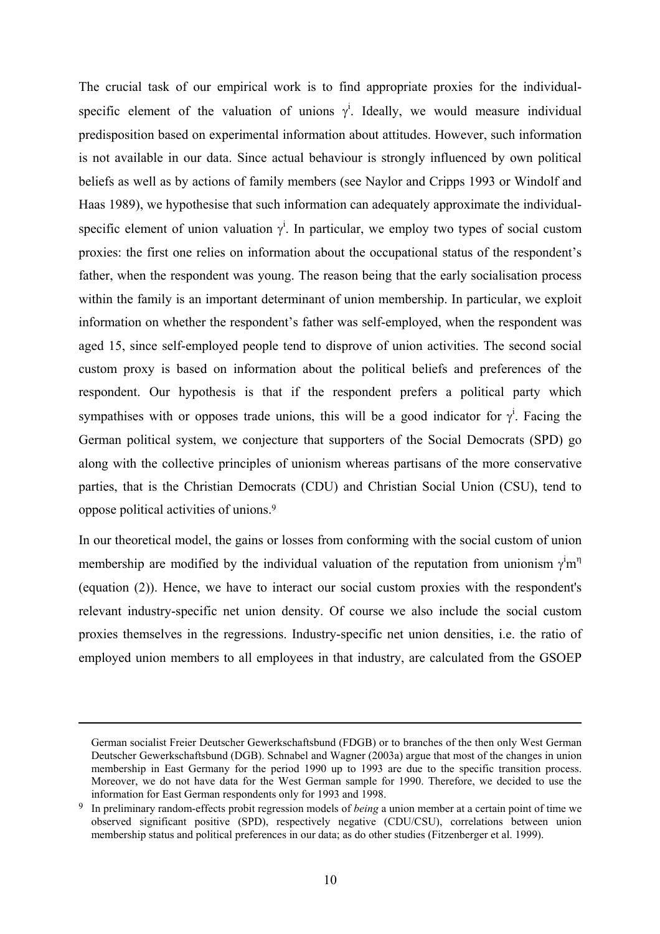The crucial task of our empirical work is to find appropriate proxies for the individualspecific element of the valuation of unions  $\gamma^i$ . Ideally, we would measure individual predisposition based on experimental information about attitudes. However, such information is not available in our data. Since actual behaviour is strongly influenced by own political beliefs as well as by actions of family members (see Naylor and Cripps 1993 or Windolf and Haas 1989), we hypothesise that such information can adequately approximate the individualspecific element of union valuation  $\gamma^i$ . In particular, we employ two types of social custom proxies: the first one relies on information about the occupational status of the respondent's father, when the respondent was young. The reason being that the early socialisation process within the family is an important determinant of union membership. In particular, we exploit information on whether the respondent's father was self-employed, when the respondent was aged 15, since self-employed people tend to disprove of union activities. The second social custom proxy is based on information about the political beliefs and preferences of the respondent. Our hypothesis is that if the respondent prefers a political party which sympathises with or opposes trade unions, this will be a good indicator for  $\gamma^i$ . Facing the German political system, we conjecture that supporters of the Social Democrats (SPD) go along with the collective principles of unionism whereas partisans of the more conservative parties, that is the Christian Democrats (CDU) and Christian Social Union (CSU), tend to oppose political activities of unions.9

In our theoretical model, the gains or losses from conforming with the social custom of union membership are modified by the individual valuation of the reputation from unionism  $\gamma^i m^{\eta}$ (equation (2)). Hence, we have to interact our social custom proxies with the respondent's relevant industry-specific net union density. Of course we also include the social custom proxies themselves in the regressions. Industry-specific net union densities, i.e. the ratio of employed union members to all employees in that industry, are calculated from the GSOEP

German socialist Freier Deutscher Gewerkschaftsbund (FDGB) or to branches of the then only West German Deutscher Gewerkschaftsbund (DGB). Schnabel and Wagner (2003a) argue that most of the changes in union membership in East Germany for the period 1990 up to 1993 are due to the specific transition process. Moreover, we do not have data for the West German sample for 1990. Therefore, we decided to use the information for East German respondents only for 1993 and 1998.

<sup>9</sup> In preliminary random-effects probit regression models of *being* a union member at a certain point of time we observed significant positive (SPD), respectively negative (CDU/CSU), correlations between union membership status and political preferences in our data; as do other studies (Fitzenberger et al. 1999).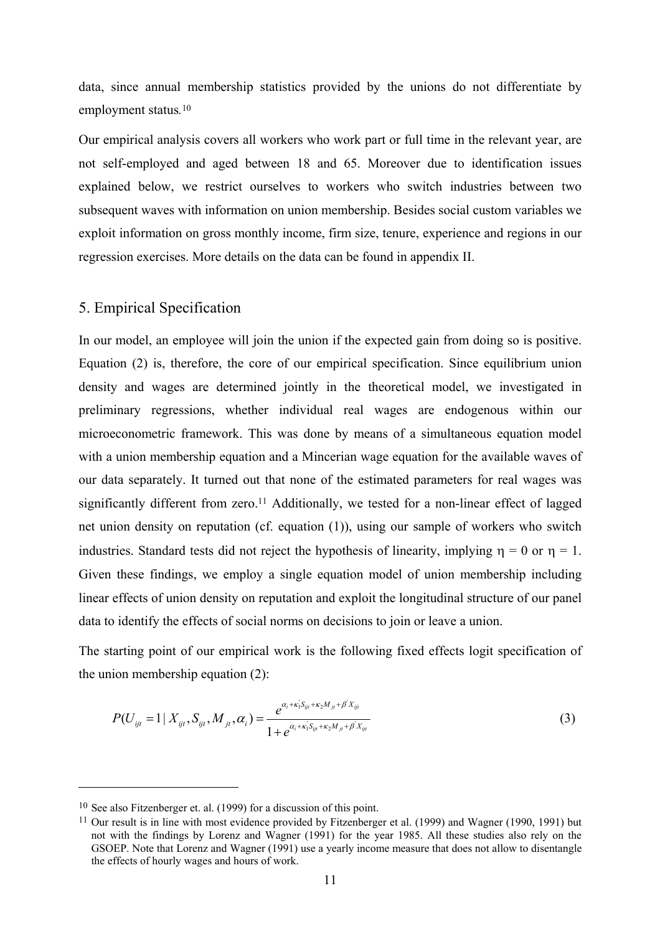data, since annual membership statistics provided by the unions do not differentiate by employment status*.* 10

Our empirical analysis covers all workers who work part or full time in the relevant year, are not self-employed and aged between 18 and 65. Moreover due to identification issues explained below, we restrict ourselves to workers who switch industries between two subsequent waves with information on union membership. Besides social custom variables we exploit information on gross monthly income, firm size, tenure, experience and regions in our regression exercises. More details on the data can be found in appendix II.

#### 5. Empirical Specification

In our model, an employee will join the union if the expected gain from doing so is positive. Equation (2) is, therefore, the core of our empirical specification. Since equilibrium union density and wages are determined jointly in the theoretical model, we investigated in preliminary regressions, whether individual real wages are endogenous within our microeconometric framework. This was done by means of a simultaneous equation model with a union membership equation and a Mincerian wage equation for the available waves of our data separately. It turned out that none of the estimated parameters for real wages was significantly different from zero.<sup>11</sup> Additionally, we tested for a non-linear effect of lagged net union density on reputation (cf. equation (1)), using our sample of workers who switch industries. Standard tests did not reject the hypothesis of linearity, implying  $\eta = 0$  or  $\eta = 1$ . Given these findings, we employ a single equation model of union membership including linear effects of union density on reputation and exploit the longitudinal structure of our panel data to identify the effects of social norms on decisions to join or leave a union.

The starting point of our empirical work is the following fixed effects logit specification of the union membership equation (2):

$$
P(U_{ijt} = 1 | X_{ijt}, S_{ijt}, M_{jt}, \alpha_i) = \frac{e^{\alpha_i + \kappa_i S_{ijt} + \kappa_2 M_{jt} + \beta' X_{ijt}}}{1 + e^{\alpha_i + \kappa_i S_{ijt} + \kappa_2 M_{jt} + \beta' X_{ijt}}}
$$
(3)

<sup>10</sup> See also Fitzenberger et. al. (1999) for a discussion of this point.

<sup>11</sup> Our result is in line with most evidence provided by Fitzenberger et al. (1999) and Wagner (1990, 1991) but not with the findings by Lorenz and Wagner (1991) for the year 1985. All these studies also rely on the GSOEP. Note that Lorenz and Wagner (1991) use a yearly income measure that does not allow to disentangle the effects of hourly wages and hours of work.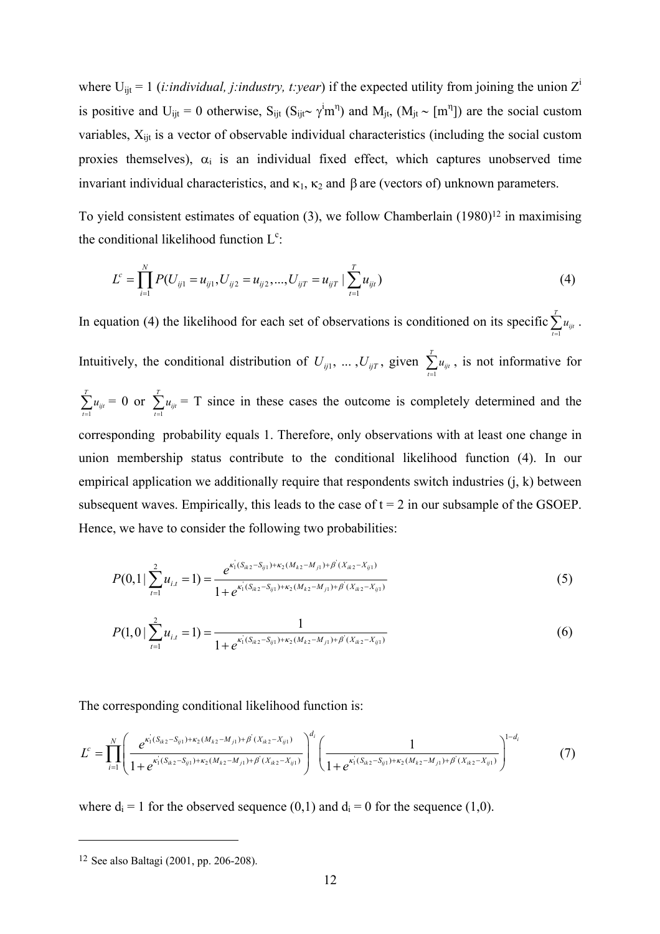where  $U_{ijt} = 1$  (*i:individual, j:industry, t:year*) if the expected utility from joining the union  $Z^i$ is positive and U<sub>ijt</sub> = 0 otherwise, S<sub>ijt</sub> (S<sub>ijt</sub>∼ γ<sup>i</sup>m<sup>n</sup>) and M<sub>jt</sub>, (M<sub>jt</sub> ~ [m<sup>n</sup>]) are the social custom variables,  $X_{\text{int}}$  is a vector of observable individual characteristics (including the social custom proxies themselves),  $\alpha_i$  is an individual fixed effect, which captures unobserved time invariant individual characteristics, and  $κ_1$ ,  $κ_2$  and  $β$  are (vectors of) unknown parameters.

To yield consistent estimates of equation  $(3)$ , we follow Chamberlain  $(1980)^{12}$  in maximising the conditional likelihood function  $L^c$ :

$$
L^{c} = \prod_{i=1}^{N} P(U_{ij1} = u_{ij1}, U_{ij2} = u_{ij2}, ..., U_{ijT} = u_{ijT} | \sum_{t=1}^{T} u_{it})
$$
\n(4)

In equation (4) the likelihood for each set of observations is conditioned on its specific 1 *T*  $\sum_{t=1}^{t} a_{ijt}$ *u*  $\sum_{t=1} u_{ijt}$  . Intuitively, the conditional distribution of  $U_{ij1}, \ldots, U_{ijT}$ , given  $\sum_{t=1}^{T}$  $\sum_{t=1}^{n}$ *u*  $\sum_{t=1} u_{ijt}$ , is not informative for 1 *T*  $\sum_{t=1}^{t} a_{ijt}$ *u*  $\sum_{t=1}^{T} u_{ijt} = 0$  or  $\sum_{t=1}^{T}$  $\sum_{t=1}^{t} a_{ijt}$ *u*  $\sum_{i=1} u_{ij} = T$  since in these cases the outcome is completely determined and the corresponding probability equals 1. Therefore, only observations with at least one change in union membership status contribute to the conditional likelihood function (4). In our empirical application we additionally require that respondents switch industries (j, k) between subsequent waves. Empirically, this leads to the case of  $t = 2$  in our subsample of the GSOEP. Hence, we have to consider the following two probabilities:

$$
P(0,1|\sum_{t=1}^{2}u_{i,t}=1) = \frac{e^{\kappa_1(S_{ik2}-S_{ij1})+\kappa_2(M_{k2}-M_{j1})+\beta'(X_{ik2}-X_{ij1})}}{1+e^{\kappa_1(S_{ik2}-S_{ij1})+\kappa_2(M_{k2}-M_{j1})+\beta'(X_{ik2}-X_{ij1})}}
$$
(5)

$$
P(1,0 \mid \sum_{t=1}^{2} u_{i,t} = 1) = \frac{1}{1 + e^{\kappa_1 (S_{ik2} - S_{ij1}) + \kappa_2 (M_{k2} - M_{j1}) + \beta'(X_{ik2} - X_{ij1})}}
$$
(6)

The corresponding conditional likelihood function is:

$$
L^{c} = \prod_{i=1}^{N} \left( \frac{e^{\kappa_{1}^{i}(S_{ik2} - S_{ij1}) + \kappa_{2}(M_{k2} - M_{j1}) + \beta^{i}(X_{ik2} - X_{ij1})}}{1 + e^{\kappa_{1}^{i}(S_{ik2} - S_{ij1}) + \kappa_{2}(M_{k2} - M_{j1}) + \beta^{i}(X_{ik2} - X_{ij1})}} \right)^{d_{i}} \left( \frac{1}{1 + e^{\kappa_{1}^{i}(S_{ik2} - S_{ij1}) + \kappa_{2}(M_{k2} - M_{j1}) + \beta^{i}(X_{ik2} - X_{ij1})}} \right)^{1 - d_{i}}
$$
(7)

where  $d_i = 1$  for the observed sequence (0,1) and  $d_i = 0$  for the sequence (1,0).

<sup>12</sup> See also Baltagi (2001, pp. 206-208).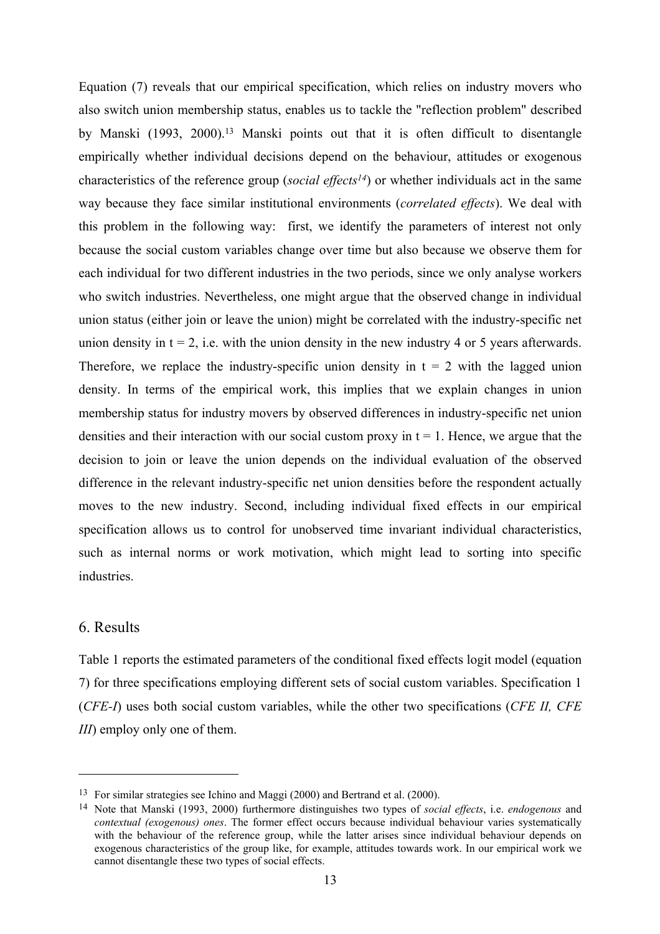Equation (7) reveals that our empirical specification, which relies on industry movers who also switch union membership status, enables us to tackle the "reflection problem" described by Manski (1993, 2000).<sup>13</sup> Manski points out that it is often difficult to disentangle empirically whether individual decisions depend on the behaviour, attitudes or exogenous characteristics of the reference group (*social effects14*) or whether individuals act in the same way because they face similar institutional environments (*correlated effects*). We deal with this problem in the following way: first, we identify the parameters of interest not only because the social custom variables change over time but also because we observe them for each individual for two different industries in the two periods, since we only analyse workers who switch industries. Nevertheless, one might argue that the observed change in individual union status (either join or leave the union) might be correlated with the industry-specific net union density in  $t = 2$ , i.e. with the union density in the new industry 4 or 5 years afterwards. Therefore, we replace the industry-specific union density in  $t = 2$  with the lagged union density. In terms of the empirical work, this implies that we explain changes in union membership status for industry movers by observed differences in industry-specific net union densities and their interaction with our social custom proxy in  $t = 1$ . Hence, we argue that the decision to join or leave the union depends on the individual evaluation of the observed difference in the relevant industry-specific net union densities before the respondent actually moves to the new industry. Second, including individual fixed effects in our empirical specification allows us to control for unobserved time invariant individual characteristics, such as internal norms or work motivation, which might lead to sorting into specific industries.

#### 6. Results

 $\overline{a}$ 

Table 1 reports the estimated parameters of the conditional fixed effects logit model (equation 7) for three specifications employing different sets of social custom variables. Specification 1 (*CFE-I*) uses both social custom variables, while the other two specifications (*CFE II, CFE III*) employ only one of them.

<sup>13</sup> For similar strategies see Ichino and Maggi (2000) and Bertrand et al. (2000).

<sup>14</sup> Note that Manski (1993, 2000) furthermore distinguishes two types of *social effects*, i.e. *endogenous* and *contextual (exogenous) ones*. The former effect occurs because individual behaviour varies systematically with the behaviour of the reference group, while the latter arises since individual behaviour depends on exogenous characteristics of the group like, for example, attitudes towards work. In our empirical work we cannot disentangle these two types of social effects.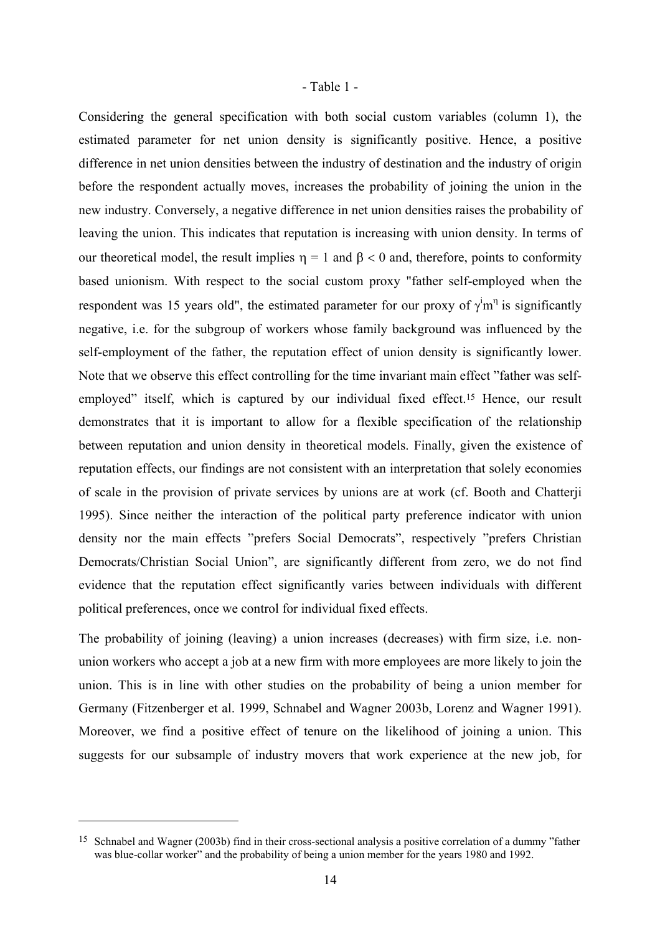#### - Table 1 -

Considering the general specification with both social custom variables (column 1), the estimated parameter for net union density is significantly positive. Hence, a positive difference in net union densities between the industry of destination and the industry of origin before the respondent actually moves, increases the probability of joining the union in the new industry. Conversely, a negative difference in net union densities raises the probability of leaving the union. This indicates that reputation is increasing with union density. In terms of our theoretical model, the result implies  $η = 1$  and  $β < 0$  and, therefore, points to conformity based unionism. With respect to the social custom proxy "father self-employed when the respondent was 15 years old", the estimated parameter for our proxy of  $\gamma^i m^{\eta}$  is significantly negative, i.e. for the subgroup of workers whose family background was influenced by the self-employment of the father, the reputation effect of union density is significantly lower. Note that we observe this effect controlling for the time invariant main effect "father was selfemployed" itself, which is captured by our individual fixed effect.<sup>15</sup> Hence, our result demonstrates that it is important to allow for a flexible specification of the relationship between reputation and union density in theoretical models. Finally, given the existence of reputation effects, our findings are not consistent with an interpretation that solely economies of scale in the provision of private services by unions are at work (cf. Booth and Chatterji 1995). Since neither the interaction of the political party preference indicator with union density nor the main effects "prefers Social Democrats", respectively "prefers Christian Democrats/Christian Social Union", are significantly different from zero, we do not find evidence that the reputation effect significantly varies between individuals with different political preferences, once we control for individual fixed effects.

The probability of joining (leaving) a union increases (decreases) with firm size, i.e. nonunion workers who accept a job at a new firm with more employees are more likely to join the union. This is in line with other studies on the probability of being a union member for Germany (Fitzenberger et al. 1999, Schnabel and Wagner 2003b, Lorenz and Wagner 1991). Moreover, we find a positive effect of tenure on the likelihood of joining a union. This suggests for our subsample of industry movers that work experience at the new job, for

<sup>15</sup> Schnabel and Wagner (2003b) find in their cross-sectional analysis a positive correlation of a dummy "father was blue-collar worker" and the probability of being a union member for the years 1980 and 1992.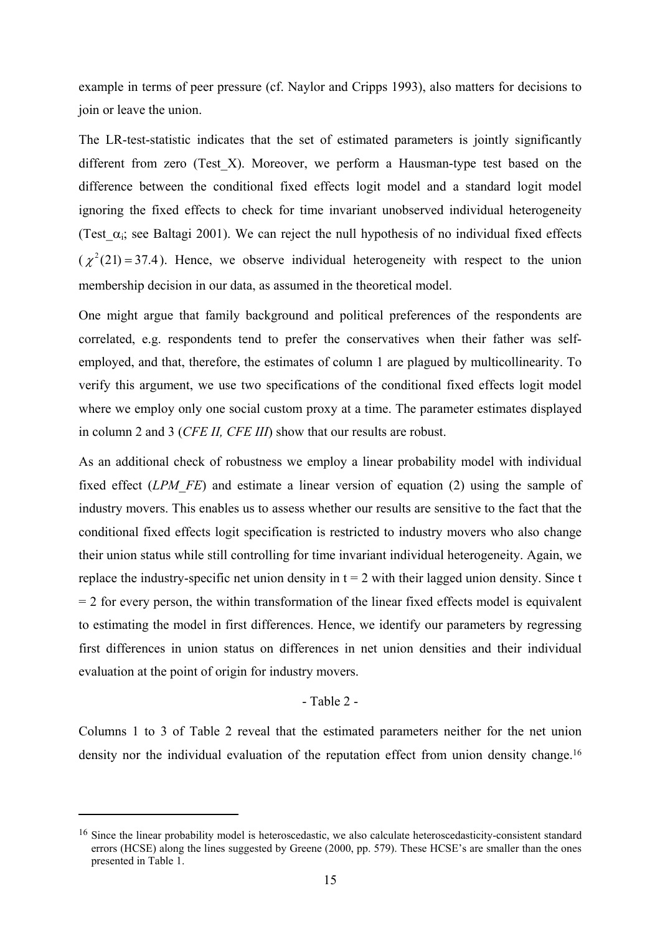example in terms of peer pressure (cf. Naylor and Cripps 1993), also matters for decisions to join or leave the union.

The LR-test-statistic indicates that the set of estimated parameters is jointly significantly different from zero (Test\_X). Moreover, we perform a Hausman-type test based on the difference between the conditional fixed effects logit model and a standard logit model ignoring the fixed effects to check for time invariant unobserved individual heterogeneity (Test\_ $\alpha_i$ ; see Baltagi 2001). We can reject the null hypothesis of no individual fixed effects  $(\chi^2(21) = 37.4)$ . Hence, we observe individual heterogeneity with respect to the union membership decision in our data, as assumed in the theoretical model.

One might argue that family background and political preferences of the respondents are correlated, e.g. respondents tend to prefer the conservatives when their father was selfemployed, and that, therefore, the estimates of column 1 are plagued by multicollinearity. To verify this argument, we use two specifications of the conditional fixed effects logit model where we employ only one social custom proxy at a time. The parameter estimates displayed in column 2 and 3 (*CFE II, CFE III*) show that our results are robust.

As an additional check of robustness we employ a linear probability model with individual fixed effect (*LPM FE*) and estimate a linear version of equation (2) using the sample of industry movers. This enables us to assess whether our results are sensitive to the fact that the conditional fixed effects logit specification is restricted to industry movers who also change their union status while still controlling for time invariant individual heterogeneity. Again, we replace the industry-specific net union density in  $t = 2$  with their lagged union density. Since t  $= 2$  for every person, the within transformation of the linear fixed effects model is equivalent to estimating the model in first differences. Hence, we identify our parameters by regressing first differences in union status on differences in net union densities and their individual evaluation at the point of origin for industry movers.

#### - Table 2 -

Columns 1 to 3 of Table 2 reveal that the estimated parameters neither for the net union density nor the individual evaluation of the reputation effect from union density change.<sup>16</sup>

<sup>&</sup>lt;sup>16</sup> Since the linear probability model is heteroscedastic, we also calculate heteroscedasticity-consistent standard errors (HCSE) along the lines suggested by Greene (2000, pp. 579). These HCSE's are smaller than the ones presented in Table 1.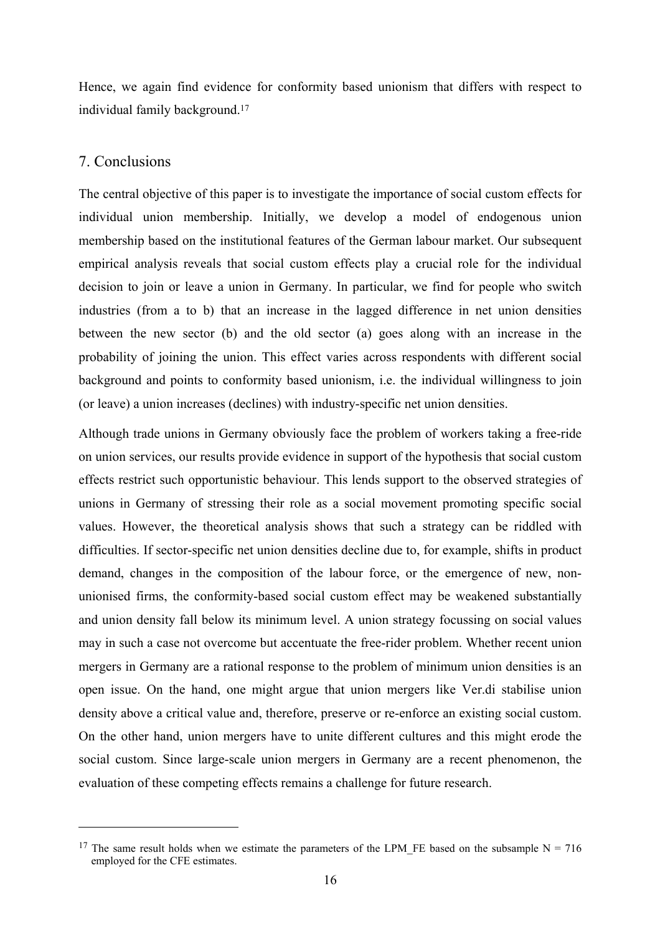Hence, we again find evidence for conformity based unionism that differs with respect to individual family background.17

#### 7. Conclusions

 $\overline{a}$ 

The central objective of this paper is to investigate the importance of social custom effects for individual union membership. Initially, we develop a model of endogenous union membership based on the institutional features of the German labour market. Our subsequent empirical analysis reveals that social custom effects play a crucial role for the individual decision to join or leave a union in Germany. In particular, we find for people who switch industries (from a to b) that an increase in the lagged difference in net union densities between the new sector (b) and the old sector (a) goes along with an increase in the probability of joining the union. This effect varies across respondents with different social background and points to conformity based unionism, i.e. the individual willingness to join (or leave) a union increases (declines) with industry-specific net union densities.

Although trade unions in Germany obviously face the problem of workers taking a free-ride on union services, our results provide evidence in support of the hypothesis that social custom effects restrict such opportunistic behaviour. This lends support to the observed strategies of unions in Germany of stressing their role as a social movement promoting specific social values. However, the theoretical analysis shows that such a strategy can be riddled with difficulties. If sector-specific net union densities decline due to, for example, shifts in product demand, changes in the composition of the labour force, or the emergence of new, nonunionised firms, the conformity-based social custom effect may be weakened substantially and union density fall below its minimum level. A union strategy focussing on social values may in such a case not overcome but accentuate the free-rider problem. Whether recent union mergers in Germany are a rational response to the problem of minimum union densities is an open issue. On the hand, one might argue that union mergers like Ver.di stabilise union density above a critical value and, therefore, preserve or re-enforce an existing social custom. On the other hand, union mergers have to unite different cultures and this might erode the social custom. Since large-scale union mergers in Germany are a recent phenomenon, the evaluation of these competing effects remains a challenge for future research.

<sup>&</sup>lt;sup>17</sup> The same result holds when we estimate the parameters of the LPM\_FE based on the subsample N = 716 employed for the CFE estimates.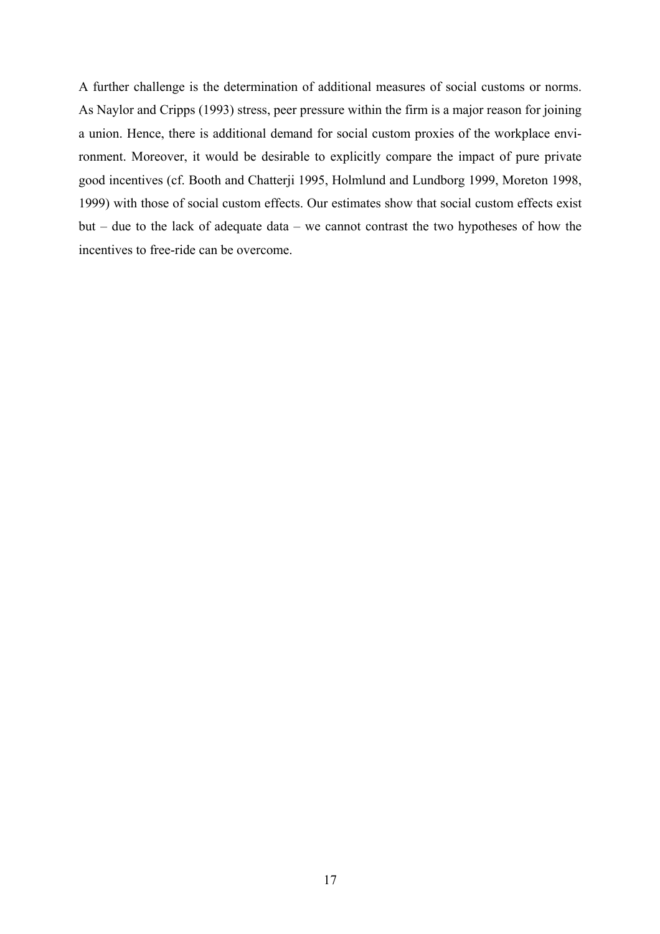A further challenge is the determination of additional measures of social customs or norms. As Naylor and Cripps (1993) stress, peer pressure within the firm is a major reason for joining a union. Hence, there is additional demand for social custom proxies of the workplace environment. Moreover, it would be desirable to explicitly compare the impact of pure private good incentives (cf. Booth and Chatterji 1995, Holmlund and Lundborg 1999, Moreton 1998, 1999) with those of social custom effects. Our estimates show that social custom effects exist but – due to the lack of adequate data – we cannot contrast the two hypotheses of how the incentives to free-ride can be overcome.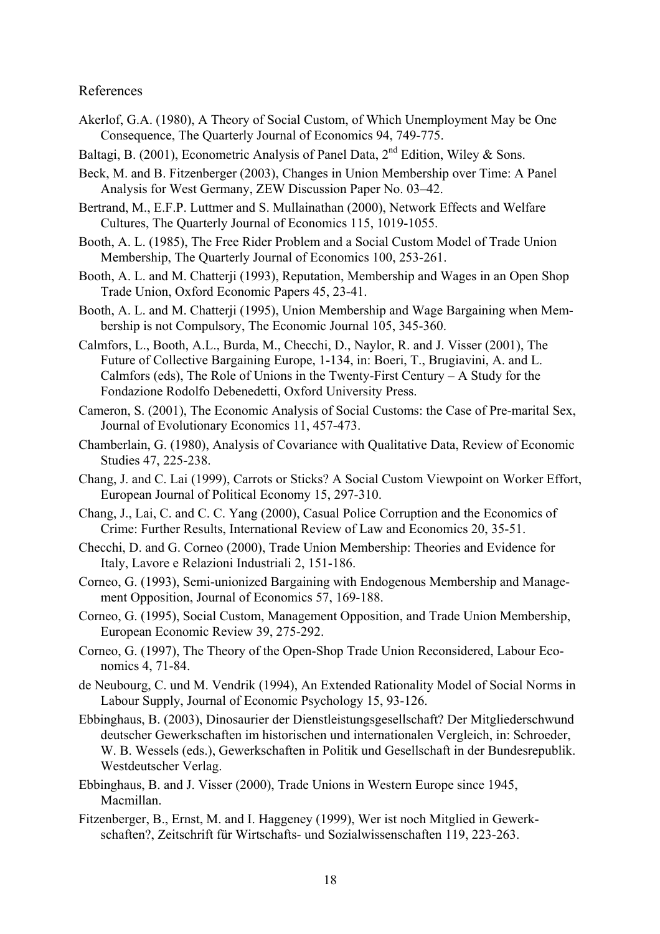#### References

- Akerlof, G.A. (1980), A Theory of Social Custom, of Which Unemployment May be One Consequence, The Quarterly Journal of Economics 94, 749-775.
- Baltagi, B. (2001), Econometric Analysis of Panel Data,  $2<sup>nd</sup>$  Edition, Wiley & Sons.
- Beck, M. and B. Fitzenberger (2003), Changes in Union Membership over Time: A Panel Analysis for West Germany, ZEW Discussion Paper No. 03–42.
- Bertrand, M., E.F.P. Luttmer and S. Mullainathan (2000), Network Effects and Welfare Cultures, The Quarterly Journal of Economics 115, 1019-1055.
- Booth, A. L. (1985), The Free Rider Problem and a Social Custom Model of Trade Union Membership, The Quarterly Journal of Economics 100, 253-261.
- Booth, A. L. and M. Chatterii (1993), Reputation, Membership and Wages in an Open Shop Trade Union, Oxford Economic Papers 45, 23-41.
- Booth, A. L. and M. Chatterji (1995), Union Membership and Wage Bargaining when Membership is not Compulsory, The Economic Journal 105, 345-360.
- Calmfors, L., Booth, A.L., Burda, M., Checchi, D., Naylor, R. and J. Visser (2001), The Future of Collective Bargaining Europe, 1-134, in: Boeri, T., Brugiavini, A. and L. Calmfors (eds), The Role of Unions in the Twenty-First Century – A Study for the Fondazione Rodolfo Debenedetti, Oxford University Press.
- Cameron, S. (2001), The Economic Analysis of Social Customs: the Case of Pre-marital Sex, Journal of Evolutionary Economics 11, 457-473.
- Chamberlain, G. (1980), Analysis of Covariance with Qualitative Data, Review of Economic Studies 47, 225-238.
- Chang, J. and C. Lai (1999), Carrots or Sticks? A Social Custom Viewpoint on Worker Effort, European Journal of Political Economy 15, 297-310.
- Chang, J., Lai, C. and C. C. Yang (2000), Casual Police Corruption and the Economics of Crime: Further Results, International Review of Law and Economics 20, 35-51.
- Checchi, D. and G. Corneo (2000), Trade Union Membership: Theories and Evidence for Italy, Lavore e Relazioni Industriali 2, 151-186.
- Corneo, G. (1993), Semi-unionized Bargaining with Endogenous Membership and Management Opposition, Journal of Economics 57, 169-188.
- Corneo, G. (1995), Social Custom, Management Opposition, and Trade Union Membership, European Economic Review 39, 275-292.
- Corneo, G. (1997), The Theory of the Open-Shop Trade Union Reconsidered, Labour Economics 4, 71-84.
- de Neubourg, C. und M. Vendrik (1994), An Extended Rationality Model of Social Norms in Labour Supply, Journal of Economic Psychology 15, 93-126.
- Ebbinghaus, B. (2003), Dinosaurier der Dienstleistungsgesellschaft? Der Mitgliederschwund deutscher Gewerkschaften im historischen und internationalen Vergleich, in: Schroeder, W. B. Wessels (eds.), Gewerkschaften in Politik und Gesellschaft in der Bundesrepublik. Westdeutscher Verlag.
- Ebbinghaus, B. and J. Visser (2000), Trade Unions in Western Europe since 1945, Macmillan.
- Fitzenberger, B., Ernst, M. and I. Haggeney (1999), Wer ist noch Mitglied in Gewerkschaften?, Zeitschrift für Wirtschafts- und Sozialwissenschaften 119, 223-263.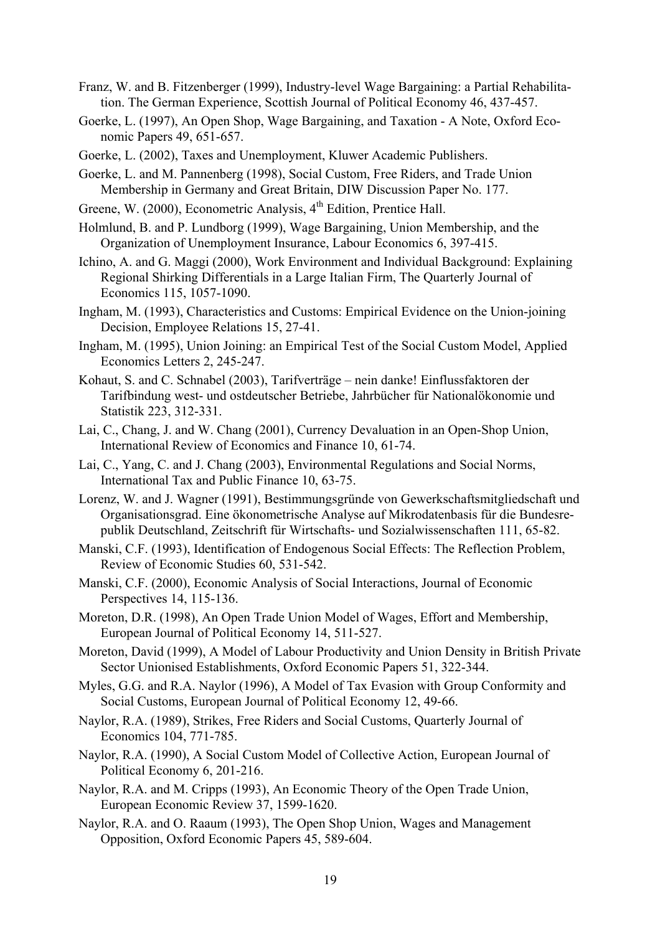- Franz, W. and B. Fitzenberger (1999), Industry-level Wage Bargaining: a Partial Rehabilitation. The German Experience, Scottish Journal of Political Economy 46, 437-457.
- Goerke, L. (1997), An Open Shop, Wage Bargaining, and Taxation A Note, Oxford Economic Papers 49, 651-657.
- Goerke, L. (2002), Taxes and Unemployment, Kluwer Academic Publishers.
- Goerke, L. and M. Pannenberg (1998), Social Custom, Free Riders, and Trade Union Membership in Germany and Great Britain, DIW Discussion Paper No. 177.
- Greene, W. (2000), Econometric Analysis, 4<sup>th</sup> Edition, Prentice Hall.
- Holmlund, B. and P. Lundborg (1999), Wage Bargaining, Union Membership, and the Organization of Unemployment Insurance, Labour Economics 6, 397-415.
- Ichino, A. and G. Maggi (2000), Work Environment and Individual Background: Explaining Regional Shirking Differentials in a Large Italian Firm, The Quarterly Journal of Economics 115, 1057-1090.
- Ingham, M. (1993), Characteristics and Customs: Empirical Evidence on the Union-joining Decision, Employee Relations 15, 27-41.
- Ingham, M. (1995), Union Joining: an Empirical Test of the Social Custom Model, Applied Economics Letters 2, 245-247.
- Kohaut, S. and C. Schnabel (2003), Tarifverträge nein danke! Einflussfaktoren der Tarifbindung west- und ostdeutscher Betriebe, Jahrbücher für Nationalökonomie und Statistik 223, 312-331.
- Lai, C., Chang, J. and W. Chang (2001), Currency Devaluation in an Open-Shop Union, International Review of Economics and Finance 10, 61-74.
- Lai, C., Yang, C. and J. Chang (2003), Environmental Regulations and Social Norms, International Tax and Public Finance 10, 63-75.
- Lorenz, W. and J. Wagner (1991), Bestimmungsgründe von Gewerkschaftsmitgliedschaft und Organisationsgrad. Eine ökonometrische Analyse auf Mikrodatenbasis für die Bundesrepublik Deutschland, Zeitschrift für Wirtschafts- und Sozialwissenschaften 111, 65-82.
- Manski, C.F. (1993), Identification of Endogenous Social Effects: The Reflection Problem, Review of Economic Studies 60, 531-542.
- Manski, C.F. (2000), Economic Analysis of Social Interactions, Journal of Economic Perspectives 14, 115-136.
- Moreton, D.R. (1998), An Open Trade Union Model of Wages, Effort and Membership, European Journal of Political Economy 14, 511-527.
- Moreton, David (1999), A Model of Labour Productivity and Union Density in British Private Sector Unionised Establishments, Oxford Economic Papers 51, 322-344.
- Myles, G.G. and R.A. Naylor (1996), A Model of Tax Evasion with Group Conformity and Social Customs, European Journal of Political Economy 12, 49-66.
- Naylor, R.A. (1989), Strikes, Free Riders and Social Customs, Quarterly Journal of Economics 104, 771-785.
- Naylor, R.A. (1990), A Social Custom Model of Collective Action, European Journal of Political Economy 6, 201-216.
- Naylor, R.A. and M. Cripps (1993), An Economic Theory of the Open Trade Union, European Economic Review 37, 1599-1620.
- Naylor, R.A. and O. Raaum (1993), The Open Shop Union, Wages and Management Opposition, Oxford Economic Papers 45, 589-604.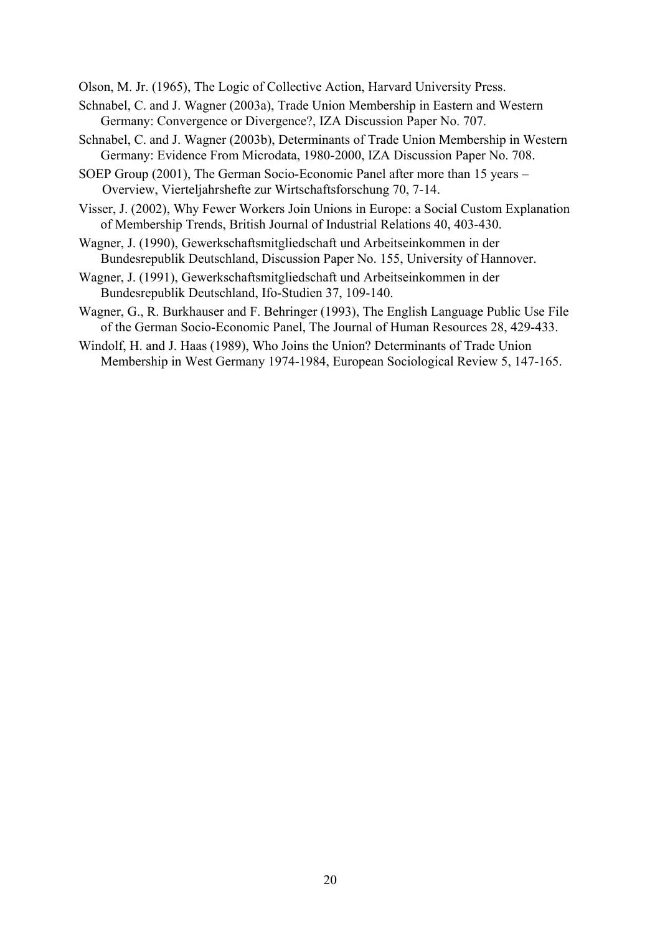Olson, M. Jr. (1965), The Logic of Collective Action, Harvard University Press.

- Schnabel, C. and J. Wagner (2003a), Trade Union Membership in Eastern and Western Germany: Convergence or Divergence?, IZA Discussion Paper No. 707.
- Schnabel, C. and J. Wagner (2003b), Determinants of Trade Union Membership in Western Germany: Evidence From Microdata, 1980-2000, IZA Discussion Paper No. 708.
- SOEP Group (2001), The German Socio-Economic Panel after more than 15 years Overview, Vierteljahrshefte zur Wirtschaftsforschung 70, 7-14.
- Visser, J. (2002), Why Fewer Workers Join Unions in Europe: a Social Custom Explanation of Membership Trends, British Journal of Industrial Relations 40, 403-430.
- Wagner, J. (1990), Gewerkschaftsmitgliedschaft und Arbeitseinkommen in der Bundesrepublik Deutschland, Discussion Paper No. 155, University of Hannover.
- Wagner, J. (1991), Gewerkschaftsmitgliedschaft und Arbeitseinkommen in der Bundesrepublik Deutschland, Ifo-Studien 37, 109-140.
- Wagner, G., R. Burkhauser and F. Behringer (1993), The English Language Public Use File of the German Socio-Economic Panel, The Journal of Human Resources 28, 429-433.
- Windolf, H. and J. Haas (1989), Who Joins the Union? Determinants of Trade Union Membership in West Germany 1974-1984, European Sociological Review 5, 147-165.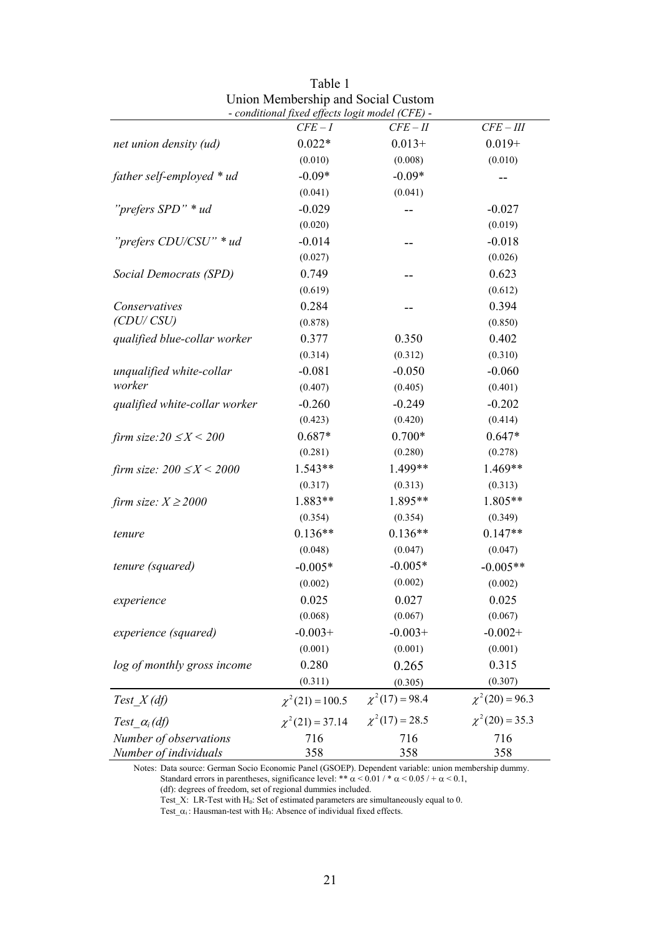|                                 | - conditional fixed effects logit model (CFE) - |                     |                     |
|---------------------------------|-------------------------------------------------|---------------------|---------------------|
|                                 | $CFE-I$                                         | $CFE - II$          | $CFE - III$         |
| net union density (ud)          | $0.022*$                                        | $0.013+$            | $0.019 +$           |
|                                 | (0.010)                                         | (0.008)             | (0.010)             |
| father self-employed * ud       | $-0.09*$                                        | $-0.09*$            |                     |
|                                 | (0.041)                                         | (0.041)             |                     |
| "prefers SPD" * ud              | $-0.029$                                        |                     | $-0.027$            |
|                                 | (0.020)                                         |                     | (0.019)             |
| "prefers CDU/CSU" * ud          | $-0.014$                                        |                     | $-0.018$            |
|                                 | (0.027)                                         |                     | (0.026)             |
| Social Democrats (SPD)          | 0.749                                           | --                  | 0.623               |
|                                 | (0.619)                                         |                     | (0.612)             |
| Conservatives                   | 0.284                                           |                     | 0.394               |
| (CDU/CSU)                       | (0.878)                                         |                     | (0.850)             |
| qualified blue-collar worker    | 0.377                                           | 0.350               | 0.402               |
|                                 | (0.314)                                         | (0.312)             | (0.310)             |
| unqualified white-collar        | $-0.081$                                        | $-0.050$            | $-0.060$            |
| worker                          | (0.407)                                         | (0.405)             | (0.401)             |
| qualified white-collar worker   | $-0.260$                                        | $-0.249$            | $-0.202$            |
|                                 | (0.423)                                         | (0.420)             | (0.414)             |
| firm size: $20 \le X \le 200$   | $0.687*$                                        | $0.700*$            | $0.647*$            |
|                                 | (0.281)                                         | (0.280)             | (0.278)             |
| firm size: $200 \le X \le 2000$ | 1.543**                                         | 1.499**             | 1.469**             |
|                                 | (0.317)                                         | (0.313)             | (0.313)             |
| firm size: $X \ge 2000$         | 1.883**                                         | 1.895**             | 1.805**             |
|                                 | (0.354)                                         | (0.354)             | (0.349)             |
| tenure                          | $0.136**$                                       | $0.136**$           | $0.147**$           |
|                                 | (0.048)                                         | (0.047)             | (0.047)             |
| tenure (squared)                | $-0.005*$                                       | $-0.005*$           | $-0.005**$          |
|                                 | (0.002)                                         | (0.002)             | (0.002)             |
| experience                      | 0.025                                           | 0.027               | 0.025               |
|                                 | (0.068)                                         | (0.067)             | (0.067)             |
| experience (squared)            | $-0.003+$                                       | $-0.003+$           | $-0.002+$           |
|                                 | (0.001)                                         | (0.001)             | (0.001)             |
| log of monthly gross income     | 0.280                                           | 0.265               | 0.315               |
|                                 | (0.311)                                         | (0.305)             | (0.307)             |
| Test $X$ (df)                   | $\chi^2(21) = 100.5$                            | $\chi^2(17) = 98.4$ | $\chi^2(20) = 96.3$ |
| Test $\alpha_i$ (df)            | $\chi^2(21) = 37.14$                            | $\chi^2(17) = 28.5$ | $\chi^2(20) = 35.3$ |
| Number of observations          | 716                                             | 716                 | 716                 |
| Number of individuals           | 358                                             | 358                 | 358                 |

| Table 1                                     |
|---------------------------------------------|
| Union Membership and Social Custom          |
| conditional fined effects logit model (CEE) |

 Notes: Data source: German Socio Economic Panel (GSOEP). Dependent variable: union membership dummy. Standard errors in parentheses, significance level: \*\*  $\alpha$  < 0.01 / \*  $\alpha$  < 0.05 / +  $\alpha$  < 0.1,

(df): degrees of freedom, set of regional dummies included.

Test\_X: LR-Test with  $H_0$ : Set of estimated parameters are simultaneously equal to 0.

Test\_ $\alpha_i$ : Hausman-test with H<sub>0</sub>: Absence of individual fixed effects.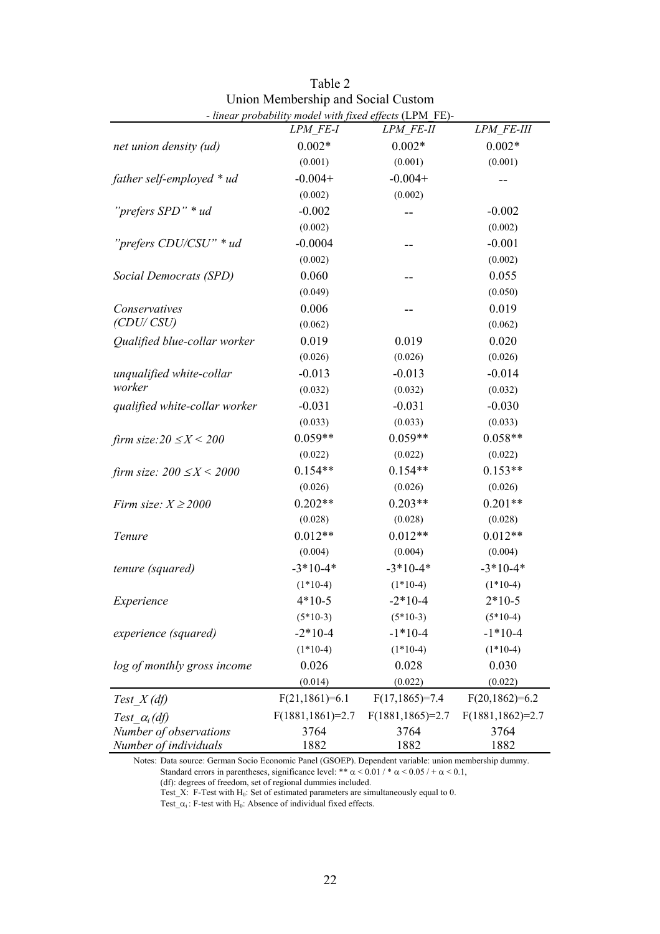|                                 | - linear probability model with fixed effects (LPM_FE)- |                     |                     |
|---------------------------------|---------------------------------------------------------|---------------------|---------------------|
|                                 | LPM FE-I                                                | LPM FE-II           | LPM FE-III          |
| net union density (ud)          | $0.002*$                                                | $0.002*$            | $0.002*$            |
|                                 | (0.001)                                                 | (0.001)             | (0.001)             |
| father self-employed * ud       | $-0.004+$                                               | $-0.004+$           |                     |
|                                 | (0.002)                                                 | (0.002)             |                     |
| "prefers SPD" * ud              | $-0.002$                                                |                     | $-0.002$            |
|                                 | (0.002)                                                 |                     | (0.002)             |
| "prefers CDU/CSU" * ud          | $-0.0004$                                               |                     | $-0.001$            |
|                                 | (0.002)                                                 |                     | (0.002)             |
| Social Democrats (SPD)          | 0.060                                                   | --                  | 0.055               |
|                                 | (0.049)                                                 |                     | (0.050)             |
| Conservatives                   | 0.006                                                   |                     | 0.019               |
| (CDU/CSU)                       | (0.062)                                                 |                     | (0.062)             |
| Qualified blue-collar worker    | 0.019                                                   | 0.019               | 0.020               |
|                                 | (0.026)                                                 | (0.026)             | (0.026)             |
| unqualified white-collar        | $-0.013$                                                | $-0.013$            | $-0.014$            |
| worker                          | (0.032)                                                 | (0.032)             | (0.032)             |
| qualified white-collar worker   | $-0.031$                                                | $-0.031$            | $-0.030$            |
|                                 | (0.033)                                                 | (0.033)             | (0.033)             |
| firm size: $20 \le X \le 200$   | $0.059**$                                               | $0.059**$           | $0.058**$           |
|                                 | (0.022)                                                 | (0.022)             | (0.022)             |
| firm size: $200 \le X \le 2000$ | $0.154**$                                               | $0.154**$           | $0.153**$           |
|                                 | (0.026)                                                 | (0.026)             | (0.026)             |
| Firm size: $X \ge 2000$         | $0.202**$                                               | $0.203**$           | $0.201**$           |
|                                 | (0.028)                                                 | (0.028)             | (0.028)             |
| Tenure                          | $0.012**$                                               | $0.012**$           | $0.012**$           |
|                                 | (0.004)                                                 | (0.004)             | (0.004)             |
| tenure (squared)                | $-3*10-4*$                                              | $-3*10-4*$          | $-3*10-4*$          |
|                                 | $(1*10-4)$                                              | $(1*10-4)$          | $(1*10-4)$          |
| Experience                      | $4*10-5$                                                | $-2*10-4$           | $2*10-5$            |
|                                 | $(5*10-3)$                                              | $(5*10-3)$          | $(5*10-4)$          |
| experience (squared)            | $-2*10-4$                                               | $-1*10-4$           | $-1*10-4$           |
|                                 | $(1*10-4)$                                              | $(1*10-4)$          | $(1*10-4)$          |
| log of monthly gross income     | 0.026                                                   | 0.028               | 0.030               |
|                                 | (0.014)                                                 | (0.022)             | (0.022)             |
| Test $X$ (df)                   | $F(21, 1861)=6.1$                                       | $F(17, 1865)=7.4$   | $F(20,1862)=6.2$    |
| Test $\alpha_i$ (df)            | $F(1881, 1861)=2.7$                                     | $F(1881, 1865)=2.7$ | $F(1881, 1862)=2.7$ |
| Number of observations          | 3764                                                    | 3764                | 3764                |
| Number of individuals           | 1882                                                    | 1882                | 1882                |

| Table 2                                                                                                                                                                                                                                                                                                                                                                                                                                                                                                                   |
|---------------------------------------------------------------------------------------------------------------------------------------------------------------------------------------------------------------------------------------------------------------------------------------------------------------------------------------------------------------------------------------------------------------------------------------------------------------------------------------------------------------------------|
| Union Membership and Social Custom                                                                                                                                                                                                                                                                                                                                                                                                                                                                                        |
| $\blacksquare$ $\blacksquare$ $\blacksquare$ $\blacksquare$ $\blacksquare$ $\blacksquare$ $\blacksquare$ $\blacksquare$ $\blacksquare$ $\blacksquare$ $\blacksquare$ $\blacksquare$ $\blacksquare$ $\blacksquare$ $\blacksquare$ $\blacksquare$ $\blacksquare$ $\blacksquare$ $\blacksquare$ $\blacksquare$ $\blacksquare$ $\blacksquare$ $\blacksquare$ $\blacksquare$ $\blacksquare$ $\blacksquare$ $\blacksquare$ $\blacksquare$ $\blacksquare$ $\blacksquare$ $\blacksquare$ $\blacks$<br>$\sim$ $\sim$ $\sim$ $\sim$ |

 Notes: Data source: German Socio Economic Panel (GSOEP). Dependent variable: union membership dummy. Standard errors in parentheses, significance level: \*\*  $\alpha$  < 0.01 / \*  $\alpha$  < 0.05 / +  $\alpha$  < 0.1,

(df): degrees of freedom, set of regional dummies included.

Test\_X: F-Test with  $H_0$ : Set of estimated parameters are simultaneously equal to 0.

Test\_ $\alpha_i$ : F-test with H<sub>0</sub>: Absence of individual fixed effects.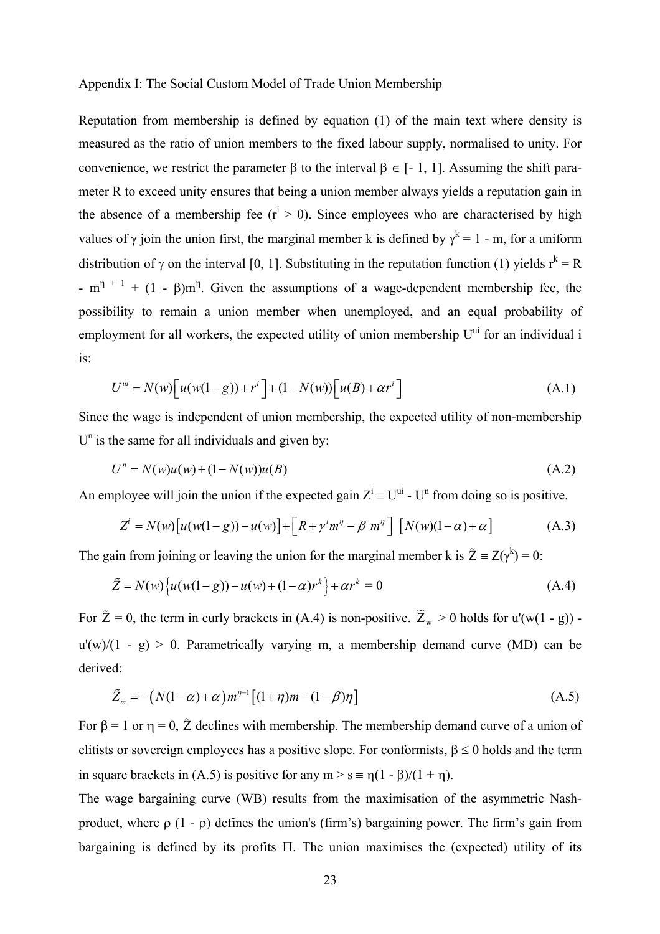#### Appendix I: The Social Custom Model of Trade Union Membership

Reputation from membership is defined by equation (1) of the main text where density is measured as the ratio of union members to the fixed labour supply, normalised to unity. For convenience, we restrict the parameter β to the interval  $β ∈ [-1, 1]$ . Assuming the shift parameter R to exceed unity ensures that being a union member always yields a reputation gain in the absence of a membership fee  $(r^{i} > 0)$ . Since employees who are characterised by high values of  $\gamma$  join the union first, the marginal member k is defined by  $\gamma^k = 1$  - m, for a uniform distribution of  $\gamma$  on the interval [0, 1]. Substituting in the reputation function (1) yields  $r^k = R$ - m<sup>η + 1</sup> + (1 - β)m<sup>η</sup>. Given the assumptions of a wage-dependent membership fee, the possibility to remain a union member when unemployed, and an equal probability of employment for all workers, the expected utility of union membership  $U^{ui}$  for an individual i is:

$$
U^{ui} = N(w) \Big[ u(w(1-g)) + r^i \Big] + (1 - N(w)) \Big[ u(B) + \alpha r^i \Big] \tag{A.1}
$$

Since the wage is independent of union membership, the expected utility of non-membership  $U<sup>n</sup>$  is the same for all individuals and given by:

$$
U^n = N(w)u(w) + (1 - N(w))u(B)
$$
\n(A.2)

An employee will join the union if the expected gain  $Z^i = U^{ui}$  -  $U^n$  from doing so is positive.

$$
Z^{i} = N(w)\big[u(w(1-g)) - u(w)\big] + \big[R + \gamma^{i}m^{\eta} - \beta m^{\eta}\big] \big[N(w)(1-\alpha) + \alpha\big]
$$
 (A.3)

The gain from joining or leaving the union for the marginal member k is  $\tilde{Z} = Z(\gamma^k) = 0$ :

$$
\tilde{Z} = N(w) \{ u(w(1-g)) - u(w) + (1-\alpha)r^{k} \} + \alpha r^{k} = 0
$$
\n(A.4)

For  $\tilde{Z} = 0$ , the term in curly brackets in (A.4) is non-positive.  $\tilde{Z}_{w} > 0$  holds for u'(w(1 - g))  $u'(w)/(1 - g) > 0$ . Parametrically varying m, a membership demand curve (MD) can be derived:

$$
\tilde{Z}_m = -\left(N(1-\alpha) + \alpha\right)m^{\eta-1}\left[(1+\eta)m - (1-\beta)\eta\right]
$$
\n(A.5)

For  $\beta = 1$  or  $\eta = 0$ ,  $\tilde{Z}$  declines with membership. The membership demand curve of a union of elitists or sovereign employees has a positive slope. For conformists,  $\beta \le 0$  holds and the term in square brackets in (A.5) is positive for any  $m > s = n(1 - \beta)/(1 + n)$ .

The wage bargaining curve (WB) results from the maximisation of the asymmetric Nashproduct, where  $\rho$  (1 -  $\rho$ ) defines the union's (firm's) bargaining power. The firm's gain from bargaining is defined by its profits Π. The union maximises the (expected) utility of its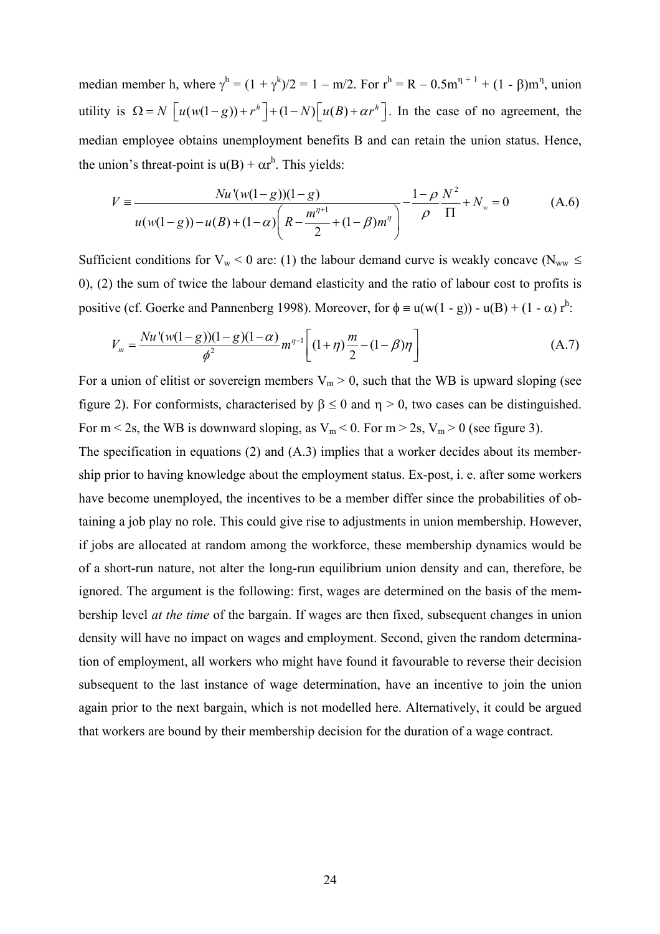median member h, where  $\gamma^h = (1 + \gamma^k)/2 = 1 - m/2$ . For  $r^h = R - 0.5m^{\eta+1} + (1 - \beta)m^{\eta}$ , union utility is  $\Omega = N \left[ u(w(1-g)) + r^h \right] + (1-N) \left[ u(B) + \alpha r^h \right]$ . In the case of no agreement, the median employee obtains unemployment benefits B and can retain the union status. Hence, the union's threat-point is  $u(B) + \alpha r^{h}$ . This yields:

$$
V = \frac{Nu'(w(1-g))(1-g)}{u(w(1-g)) - u(B) + (1-\alpha)\left(R - \frac{m^{n+1}}{2} + (1-\beta)m^n\right)} - \frac{1-\rho}{\rho}\frac{N^2}{\Pi} + N_w = 0
$$
 (A.6)

Sufficient conditions for  $V_w < 0$  are: (1) the labour demand curve is weakly concave ( $N_{ww} \leq$ 0), (2) the sum of twice the labour demand elasticity and the ratio of labour cost to profits is positive (cf. Goerke and Pannenberg 1998). Moreover, for  $\phi = u(w(1 - g)) - u(B) + (1 - \alpha) r^h$ .

$$
V_m = \frac{Nu'(w(1-g))(1-g)(1-\alpha)}{\phi^2} m^{\eta-1} \left[ (1+\eta) \frac{m}{2} - (1-\beta)\eta \right]
$$
 (A.7)

For a union of elitist or sovereign members  $V_m > 0$ , such that the WB is upward sloping (see figure 2). For conformists, characterised by  $\beta \le 0$  and  $\eta > 0$ , two cases can be distinguished. For  $m < 2s$ , the WB is downward sloping, as  $V_m < 0$ . For  $m > 2s$ ,  $V_m > 0$  (see figure 3).

The specification in equations (2) and (A.3) implies that a worker decides about its membership prior to having knowledge about the employment status. Ex-post, i. e. after some workers have become unemployed, the incentives to be a member differ since the probabilities of obtaining a job play no role. This could give rise to adjustments in union membership. However, if jobs are allocated at random among the workforce, these membership dynamics would be of a short-run nature, not alter the long-run equilibrium union density and can, therefore, be ignored. The argument is the following: first, wages are determined on the basis of the membership level *at the time* of the bargain. If wages are then fixed, subsequent changes in union density will have no impact on wages and employment. Second, given the random determination of employment, all workers who might have found it favourable to reverse their decision subsequent to the last instance of wage determination, have an incentive to join the union again prior to the next bargain, which is not modelled here. Alternatively, it could be argued that workers are bound by their membership decision for the duration of a wage contract.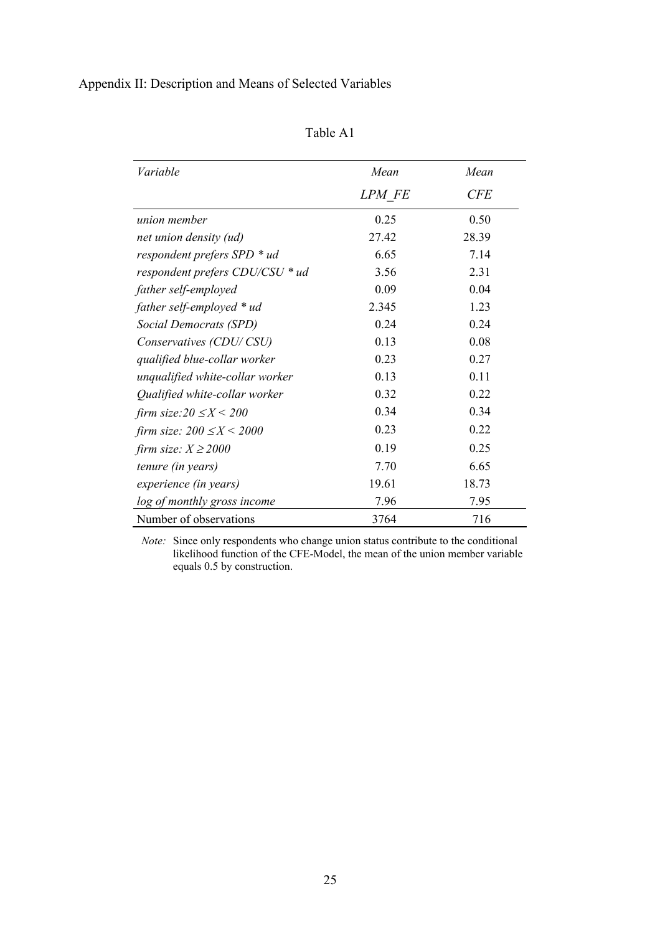Appendix II: Description and Means of Selected Variables

| abie |  |  |
|------|--|--|
|      |  |  |

| Variable                        | Mean   | Mean       |
|---------------------------------|--------|------------|
|                                 | LPM FE | <b>CFE</b> |
| union member                    | 0.25   | 0.50       |
| net union density (ud)          | 27.42  | 28.39      |
| respondent prefers SPD * ud     | 6.65   | 7.14       |
| respondent prefers CDU/CSU * ud | 3.56   | 2.31       |
| father self-employed            | 0.09   | 0.04       |
| father self-employed * ud       | 2.345  | 1.23       |
| Social Democrats (SPD)          | 0.24   | 0.24       |
| Conservatives (CDU/CSU)         | 0.13   | 0.08       |
| qualified blue-collar worker    | 0.23   | 0.27       |
| unqualified white-collar worker | 0.13   | 0.11       |
| Qualified white-collar worker   | 0.32   | 0.22       |
| firm size: $20 \le X \le 200$   | 0.34   | 0.34       |
| firm size: $200 \le X \le 2000$ | 0.23   | 0.22       |
| firm size: $X \ge 2000$         | 0.19   | 0.25       |
| tenure (in years)               | 7.70   | 6.65       |
| experience (in years)           | 19.61  | 18.73      |
| log of monthly gross income     | 7.96   | 7.95       |
| Number of observations          | 3764   | 716        |

*Note:* Since only respondents who change union status contribute to the conditional likelihood function of the CFE-Model, the mean of the union member variable equals 0.5 by construction.